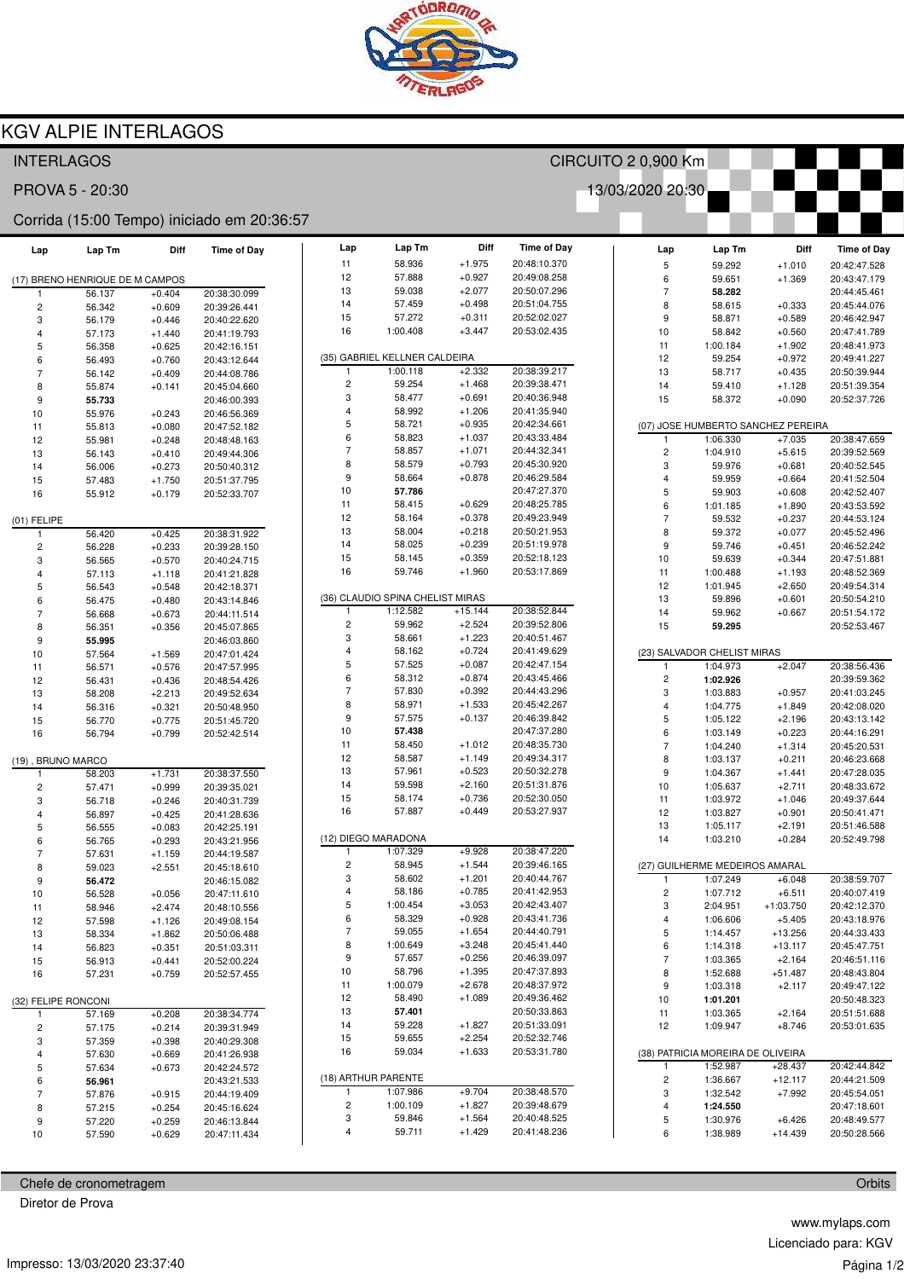

## **KGV ALPIE INTERLAGOS**

| 13/03/2020 20:30<br>PROVA 5 - 20:30<br>Corrida (15:00 Tempo) iniciado em 20:36:57<br>Diff<br>Lap<br>Lap Tm<br><b>Time of Day</b><br>Lap Tm<br>Diff<br><b>Time of Day</b><br>Lap<br><b>Time of Day</b><br>Lap Tm<br>Diff<br>Lap<br>$+1.975$<br>11<br>58.936<br>20:48:10.370<br>5<br>59.292<br>20:42:47.528<br>$+1.010$<br>$+0.927$<br>12<br>57.888<br>20:49:08.258<br>6<br>$+1.369$<br>20:43:47.179<br>59.651<br>(17) BRENO HENRIQUE DE M CAMPOS<br>13<br>59.038<br>$+2.077$<br>20:50:07.296<br>$\overline{\phantom{a}}$<br>20:44:45.461<br>56.137<br>$+0.404$<br>20:38:30.099<br>58.282<br>1<br>14<br>57.459<br>$+0.498$<br>20:51:04.755<br>8<br>58.615<br>$+0.333$<br>20:45:44.076<br>$\overline{\mathbf{c}}$<br>56.342<br>$+0.609$<br>20:39:26.441<br>15<br>57.272<br>$+0.311$<br>20:52:02.027<br>9<br>58.871<br>$+0.589$<br>20:46:42.947<br>3<br>56.179<br>$+0.446$<br>20:40:22.620<br>16<br>$+3.447$<br>1:00.408<br>20:53:02.435<br>10<br>58.842<br>$+0.560$<br>20:47:41.789<br>4<br>57.173<br>$+1.440$<br>20:41:19.793<br>11<br>1:00.184<br>$+1.902$<br>20:48:41.973<br>5<br>56.358<br>$+0.625$<br>20:42:16.151<br>(35) GABRIEL KELLNER CALDEIRA<br>12<br>59.254<br>$+0.972$<br>20:49:41.227<br>6<br>$+0.760$<br>56.493<br>20:43:12.644<br>$+2.332$<br>20:38:39.217<br>1:00.118<br>13<br>58.717<br>$+0.435$<br>20:50:39.944<br>$\overline{7}$<br>56.142<br>$+0.409$<br>20:44:08.786<br>$\overline{c}$<br>59.254<br>$+1.468$<br>20:39:38.471<br>14<br>$+1.128$<br>20:51:39.354<br>59.410<br>8<br>55.874<br>$+0.141$<br>20:45:04.660<br>3<br>58.477<br>$+0.691$<br>20:40:36.948<br>15<br>58.372<br>$+0.090$<br>20:52:37.726<br>9<br>55.733<br>20:46:00.393<br>$+1.206$<br>$\overline{4}$<br>58.992<br>20:41:35.940<br>10<br>55.976<br>$+0.243$<br>20:46:56.369<br>5<br>58.721<br>$+0.935$<br>20:42:34.661<br>(07) JOSE HUMBERTO SANCHEZ PEREIRA<br>11<br>55.813<br>$+0.080$<br>20:47:52.182<br>6<br>$+1.037$<br>58.823<br>20:43:33.484<br>1:06.330<br>$+7.035$<br>20:38:47.659<br>1<br>12<br>55.981<br>$+0.248$<br>20:48:48.163<br>$\overline{7}$<br>58.857<br>$+1.071$<br>20:44:32.341<br>1:04.910<br>$+5.615$<br>20:39:52.569<br>13<br>56.143<br>$+0.410$<br>20:49:44.306<br>8<br>$+0.793$<br>58.579<br>20:45:30.920<br>3<br>20:40:52.545<br>59.976<br>$+0.681$<br>$+0.273$<br>14<br>56.006<br>20:50:40.312<br>9<br>$+0.878$<br>58.664<br>20:46:29.584<br>$\overline{4}$<br>20:41:52.504<br>59.959<br>$+0.664$<br>15<br>57.483<br>$+1.750$<br>20:51:37.795<br>10<br>20:47:27.370<br>57.786<br>5<br>59.903<br>$+0.608$<br>20:42:52.407<br>$+0.179$<br>16<br>55.912<br>20:52:33.707<br>11<br>6<br>58.415<br>$+0.629$<br>20:48:25.785<br>20:43:53.592<br>1:01.185<br>$+1.890$<br>12<br>58.164<br>$+0.378$<br>20:49:23.949<br>$\overline{7}$<br>59.532<br>$+0.237$<br>20:44:53.124<br>$(01)$ FELIPE<br>13<br>58.004<br>$+0.218$<br>20:50:21.953<br>8<br>59.372<br>$+0.077$<br>20:45:52.496<br>56.420<br>$+0.425$<br>20:38:31.922<br>1<br>$+0.239$<br>14<br>58.025<br>20:51:19.978<br>9<br>59.746<br>$+0.451$<br>20:46:52.242<br>$\overline{\mathbf{c}}$<br>$+0.233$<br>56.228<br>20:39:28.150<br>15<br>$+0.359$<br>20:52:18.123<br>58.145<br>10<br>59.639<br>$+0.344$<br>20:47:51.881<br>3<br>56.565<br>$+0.570$<br>20:40:24.715<br>16<br>$+1.960$<br>59.746<br>20:53:17.869<br>11<br>1:00.488<br>$+1.193$<br>20:48:52.369<br>4<br>57.113<br>$+1.118$<br>20:41:21.828<br>12<br>1:01.945<br>$+2.650$<br>20:49:54.314<br>5<br>56.543<br>$+0.548$<br>20:42:18.371<br>(36) CLAUDIO SPINA CHELIST MIRAS<br>13<br>59.896<br>$+0.601$<br>20:50:54.210<br>6<br>56.475<br>$+0.480$<br>20:43:14.846<br>1:12.582<br>$+15.144$<br>20:38:52.844<br>14<br>$\overline{\mathcal{I}}$<br>59.962<br>$+0.667$<br>20:51:54.172<br>56.668<br>$+0.673$<br>20:44:11.514<br>$\overline{c}$<br>$+2.524$<br>59.962<br>20:39:52.806<br>15<br>59.295<br>20:52:53.467<br>8<br>56.351<br>$+0.356$<br>20:45:07.865<br>3<br>$+1.223$<br>58.661<br>20:40:51.467<br>9<br>55.995<br>20:46:03.860<br>$\overline{4}$<br>$+0.724$<br>58.162<br>20:41:49.629<br>(23) SALVADOR CHELIST MIRAS<br>10<br>57.564<br>$+1.569$<br>20:47:01.424<br>5<br>57.525<br>$+0.087$<br>20:42:47.154<br>1:04.973<br>$+2.047$<br>20:38:56.436<br>1<br>11<br>56.571<br>$+0.576$<br>20:47:57.995<br>6<br>$+0.874$<br>58.312<br>20:43:45.466<br>$\overline{\mathbf{c}}$<br>1:02.926<br>20:39:59.362<br>12<br>56.431<br>$+0.436$<br>20:48:54.426<br>$\overline{7}$<br>57.830<br>$+0.392$<br>20:44:43.296<br>3<br>1:03.883<br>20:41:03.245<br>$+0.957$<br>13<br>58.208<br>$+2.213$<br>20:49:52.634<br>8<br>58.971<br>$+1.533$<br>20:45:42.267<br>$\overline{4}$<br>1:04.775<br>$+1.849$<br>20:42:08.020<br>14<br>56.316<br>$+0.321$<br>20:50:48.950<br>9<br>5<br>57.575<br>$+0.137$<br>20:46:39.842<br>1:05.122<br>$+2.196$<br>20:43:13.142<br>$+0.775$<br>15<br>56.770<br>20:51:45.720<br>10<br>20:47:37.280<br>6<br>57.438<br>1:03.149<br>$+0.223$<br>20:44:16.291<br>16<br>$+0.799$<br>56.794<br>20:52:42.514<br>11<br>58.450<br>$+1.012$<br>20:48:35.730<br>$\overline{\phantom{a}}$<br>1:04.240<br>$+1.314$<br>20:45:20.531<br>12<br>58.587<br>$+1.149$<br>20:49:34.317<br>8<br>1:03.137<br>$+0.211$<br>20:46:23.668<br>(19), BRUNO MARCO<br>13<br>57.961<br>$+0.523$<br>20:50:32.278<br>9<br>1:04.367<br>$+1.441$<br>20:47:28.035<br>$+1.731$<br>20:38:37.550<br>58.203<br>1<br>14<br>59.598<br>$+2.160$<br>20:51:31.876<br>10<br>1:05.637<br>$+2.711$<br>20:48:33.672<br>$\overline{\mathbf{c}}$<br>57.471<br>$+0.999$<br>20:39:35.021<br>$+0.736$<br>15<br>58.174<br>20:52:30.050<br>11<br>1:03.972<br>$+1.046$<br>20:49:37.644<br>3<br>56.718<br>$+0.246$<br>20:40:31.739<br>16<br>57.887<br>$+0.449$<br>20:53:27.937<br>12<br>1:03.827<br>$+0.901$<br>20:50:41.471<br>4<br>56.897<br>$+0.425$<br>20:41:28.636<br>13<br>1:05.117<br>$+2.191$<br>20:51:46.588<br>5<br>56.555<br>$+0.083$<br>20:42:25.191<br>(12) DIEGO MARADONA<br>20:52:49.798<br>14<br>1:03.210<br>$+0.284$<br>6<br>56.765<br>$+0.293$<br>20:43:21.956<br>1:07.329<br>$+9.928$<br>20:38:47.220<br>$\mathbf{1}$<br>$\overline{7}$<br>57.631<br>$+1.159$<br>20:44:19.587<br>$\overline{c}$<br>58.945<br>$+1.544$<br>20:39:46.165<br>(27) GUILHERME MEDEIROS AMARAL<br>8<br>59.023<br>$+2.551$<br>20:45:18.610<br>3<br>58.602<br>$+1.201$<br>20:40:44.767<br>1:07.249<br>20:38:59.707<br>$+6.048$<br>1<br>9<br>56.472<br>20:46:15.082<br>58.186<br>$+0.785$<br>4<br>20:41:42.953<br>2<br>1:07.712<br>$+6.511$<br>20:40:07.419<br>10<br>56.528<br>$+0.056$<br>20:47:11.610<br>5<br>1:00.454<br>$+3.053$<br>20:42:43.407<br>3<br>2:04.951<br>$+1:03.750$<br>20:42:12.370<br>11<br>58.946<br>$+2.474$<br>20:48:10.556<br>6<br>58.329<br>$+0.928$<br>20:43:41.736<br>4<br>1:06.606<br>20:43:18.976<br>$+5.405$<br>12<br>57.598<br>$+1.126$<br>20:49:08.154<br>$\overline{7}$<br>59.055<br>$+1.654$<br>5<br>20:44:40.791<br>20:44:33.433<br>1:14.457<br>$+13.256$<br>13<br>58.334<br>$+1.862$<br>20:50:06.488<br>8<br>$+3.248$<br>1:00.649<br>20:45:41.440<br>6<br>1:14.318<br>$+13.117$<br>20:45:47.751<br>56.823<br>$+0.351$<br>14<br>20:51:03.311<br>9<br>57.657<br>$+0.256$<br>$\overline{\phantom{a}}$<br>20:46:39.097<br>1:03.365<br>$+2.164$<br>20:46:51.116<br>15<br>56.913<br>20:52:00.224<br>$+0.441$<br>10<br>58.796<br>$+1.395$<br>20:47:37.893<br>8<br>1:52.688<br>$+51.487$<br>20:48:43.804<br>57.231<br>$+0.759$<br>20:52:57.455<br>16<br>11<br>1:00.079<br>$+2.678$<br>20:48:37.972<br>9<br>1:03.318<br>20:49:47.122<br>$+2.117$<br>12<br>58.490<br>$+1.089$<br>20:49:36.462<br>10<br>20:50:48.323<br>1:01.201<br>(32) FELIPE RONCONI<br>13<br>57.401<br>20:50:33.863<br>11<br>1:03.365<br>20:51:51.688<br>$+0.208$<br>20:38:34.774<br>$+2.164$<br>57.169<br>$\mathbf{1}$<br>14<br>59.228<br>$+1.827$<br>20:51:33.091<br>12<br>1:09.947<br>$+8.746$<br>20:53:01.635<br>2<br>57.175<br>$+0.214$<br>20:39:31.949<br>15<br>59.655<br>$+2.254$<br>20:52:32.746<br>3<br>57.359<br>$+0.398$<br>20:40:29.308<br>16<br>59.034<br>$+1.633$<br>20:53:31.780<br>(38) PATRICIA MOREIRA DE OLIVEIRA<br>4<br>57.630<br>$+0.669$<br>20:41:26.938<br>20:42:44.842<br>1:52.987<br>$+28.437$<br>1<br>5<br>57.634<br>$+0.673$<br>20:42:24.572<br>(18) ARTHUR PARENTE<br>$\overline{\mathbf{c}}$<br>1:36.667<br>20:44:21.509<br>$+12.117$<br>6<br>56.961<br>20:43:21.533<br>1:07.986<br>$+9.704$<br>20:38:48.570<br>-1<br>3<br>1:32.542<br>$+7.992$<br>20:45:54.051<br>7<br>57.876<br>$+0.915$<br>20:44:19.409<br>$\overline{c}$<br>$+1.827$<br>1:00.109<br>20:39:48.679<br>4<br>1:24.550<br>20:47:18.601<br>8<br>57.215<br>$+0.254$<br>20:45:16.624<br>3<br>59.846<br>$+1.564$<br>20:40:48.525<br>5<br>1:30.976<br>20:48:49.577<br>$+6.426$<br>9<br>57.220<br>$+0.259$<br>20:46:13.844<br>4<br>$+1.429$<br>6<br>59.711<br>20:41:48.236<br>1:38.989<br>$+14.439$<br>57.590<br>20:50:28.566<br>10<br>$+0.629$<br>20:47:11.434 | <b>INTERLAGOS</b> |  |  |  | CIRCUITO 2 0,900 Km |  |  |  |  |  |  |  |
|------------------------------------------------------------------------------------------------------------------------------------------------------------------------------------------------------------------------------------------------------------------------------------------------------------------------------------------------------------------------------------------------------------------------------------------------------------------------------------------------------------------------------------------------------------------------------------------------------------------------------------------------------------------------------------------------------------------------------------------------------------------------------------------------------------------------------------------------------------------------------------------------------------------------------------------------------------------------------------------------------------------------------------------------------------------------------------------------------------------------------------------------------------------------------------------------------------------------------------------------------------------------------------------------------------------------------------------------------------------------------------------------------------------------------------------------------------------------------------------------------------------------------------------------------------------------------------------------------------------------------------------------------------------------------------------------------------------------------------------------------------------------------------------------------------------------------------------------------------------------------------------------------------------------------------------------------------------------------------------------------------------------------------------------------------------------------------------------------------------------------------------------------------------------------------------------------------------------------------------------------------------------------------------------------------------------------------------------------------------------------------------------------------------------------------------------------------------------------------------------------------------------------------------------------------------------------------------------------------------------------------------------------------------------------------------------------------------------------------------------------------------------------------------------------------------------------------------------------------------------------------------------------------------------------------------------------------------------------------------------------------------------------------------------------------------------------------------------------------------------------------------------------------------------------------------------------------------------------------------------------------------------------------------------------------------------------------------------------------------------------------------------------------------------------------------------------------------------------------------------------------------------------------------------------------------------------------------------------------------------------------------------------------------------------------------------------------------------------------------------------------------------------------------------------------------------------------------------------------------------------------------------------------------------------------------------------------------------------------------------------------------------------------------------------------------------------------------------------------------------------------------------------------------------------------------------------------------------------------------------------------------------------------------------------------------------------------------------------------------------------------------------------------------------------------------------------------------------------------------------------------------------------------------------------------------------------------------------------------------------------------------------------------------------------------------------------------------------------------------------------------------------------------------------------------------------------------------------------------------------------------------------------------------------------------------------------------------------------------------------------------------------------------------------------------------------------------------------------------------------------------------------------------------------------------------------------------------------------------------------------------------------------------------------------------------------------------------------------------------------------------------------------------------------------------------------------------------------------------------------------------------------------------------------------------------------------------------------------------------------------------------------------------------------------------------------------------------------------------------------------------------------------------------------------------------------------------------------------------------------------------------------------------------------------------------------------------------------------------------------------------------------------------------------------------------------------------------------------------------------------------------------------------------------------------------------------------------------------------------------------------------------------------------------------------------------------------------------------------------------------------------------------------------------------------------------------------------------------------------------------------------------------------------------------------------------------------------------------------------------------------------------------------------------------------------------------------------------------------------------------------------------------------------------------------------------------------------------------------------------------------------------------------------------------------------------------------------------------------------------------------------------------------------------------------------------------------------------------------------------------------------------------------------------------------------------------------------------------------------------------------------------------------------------------------------------------------------------------------------------------------------------------------------------------------------------------------------------------------------------------------------------------------------------------------------------------------------------------------------------------------------------------------------------------------------------------------------------------------------------------------------------------------------------------------------------------------------------------------------------------------------------------------------------------------------------------------------------------------------------------------------------------------------------------------------------------------------------------------------------------------------------------------------------------------------------------------------------------------------------------------------------------------------------------------------------------------------------------------------------------------------------------------------------------------------------------------------------------------------------------------------------------------------------------------------------------------------------------------------------------------------------------------------------------------------------------------------------------------------------------------------------------------------------------------------------------|-------------------|--|--|--|---------------------|--|--|--|--|--|--|--|
|                                                                                                                                                                                                                                                                                                                                                                                                                                                                                                                                                                                                                                                                                                                                                                                                                                                                                                                                                                                                                                                                                                                                                                                                                                                                                                                                                                                                                                                                                                                                                                                                                                                                                                                                                                                                                                                                                                                                                                                                                                                                                                                                                                                                                                                                                                                                                                                                                                                                                                                                                                                                                                                                                                                                                                                                                                                                                                                                                                                                                                                                                                                                                                                                                                                                                                                                                                                                                                                                                                                                                                                                                                                                                                                                                                                                                                                                                                                                                                                                                                                                                                                                                                                                                                                                                                                                                                                                                                                                                                                                                                                                                                                                                                                                                                                                                                                                                                                                                                                                                                                                                                                                                                                                                                                                                                                                                                                                                                                                                                                                                                                                                                                                                                                                                                                                                                                                                                                                                                                                                                                                                                                                                                                                                                                                                                                                                                                                                                                                                                                                                                                                                                                                                                                                                                                                                                                                                                                                                                                                                                                                                                                                                                                                                                                                                                                                                                                                                                                                                                                                                                                                                                                                                                                                                                                                                                                                                                                                                                                                                                                                                                                                                                                                                                                                                                                                                                                                                                                                                                                                                                                                                                                                                                                                                                                                                              |                   |  |  |  |                     |  |  |  |  |  |  |  |
|                                                                                                                                                                                                                                                                                                                                                                                                                                                                                                                                                                                                                                                                                                                                                                                                                                                                                                                                                                                                                                                                                                                                                                                                                                                                                                                                                                                                                                                                                                                                                                                                                                                                                                                                                                                                                                                                                                                                                                                                                                                                                                                                                                                                                                                                                                                                                                                                                                                                                                                                                                                                                                                                                                                                                                                                                                                                                                                                                                                                                                                                                                                                                                                                                                                                                                                                                                                                                                                                                                                                                                                                                                                                                                                                                                                                                                                                                                                                                                                                                                                                                                                                                                                                                                                                                                                                                                                                                                                                                                                                                                                                                                                                                                                                                                                                                                                                                                                                                                                                                                                                                                                                                                                                                                                                                                                                                                                                                                                                                                                                                                                                                                                                                                                                                                                                                                                                                                                                                                                                                                                                                                                                                                                                                                                                                                                                                                                                                                                                                                                                                                                                                                                                                                                                                                                                                                                                                                                                                                                                                                                                                                                                                                                                                                                                                                                                                                                                                                                                                                                                                                                                                                                                                                                                                                                                                                                                                                                                                                                                                                                                                                                                                                                                                                                                                                                                                                                                                                                                                                                                                                                                                                                                                                                                                                                                                              |                   |  |  |  |                     |  |  |  |  |  |  |  |
|                                                                                                                                                                                                                                                                                                                                                                                                                                                                                                                                                                                                                                                                                                                                                                                                                                                                                                                                                                                                                                                                                                                                                                                                                                                                                                                                                                                                                                                                                                                                                                                                                                                                                                                                                                                                                                                                                                                                                                                                                                                                                                                                                                                                                                                                                                                                                                                                                                                                                                                                                                                                                                                                                                                                                                                                                                                                                                                                                                                                                                                                                                                                                                                                                                                                                                                                                                                                                                                                                                                                                                                                                                                                                                                                                                                                                                                                                                                                                                                                                                                                                                                                                                                                                                                                                                                                                                                                                                                                                                                                                                                                                                                                                                                                                                                                                                                                                                                                                                                                                                                                                                                                                                                                                                                                                                                                                                                                                                                                                                                                                                                                                                                                                                                                                                                                                                                                                                                                                                                                                                                                                                                                                                                                                                                                                                                                                                                                                                                                                                                                                                                                                                                                                                                                                                                                                                                                                                                                                                                                                                                                                                                                                                                                                                                                                                                                                                                                                                                                                                                                                                                                                                                                                                                                                                                                                                                                                                                                                                                                                                                                                                                                                                                                                                                                                                                                                                                                                                                                                                                                                                                                                                                                                                                                                                                                                              |                   |  |  |  |                     |  |  |  |  |  |  |  |
|                                                                                                                                                                                                                                                                                                                                                                                                                                                                                                                                                                                                                                                                                                                                                                                                                                                                                                                                                                                                                                                                                                                                                                                                                                                                                                                                                                                                                                                                                                                                                                                                                                                                                                                                                                                                                                                                                                                                                                                                                                                                                                                                                                                                                                                                                                                                                                                                                                                                                                                                                                                                                                                                                                                                                                                                                                                                                                                                                                                                                                                                                                                                                                                                                                                                                                                                                                                                                                                                                                                                                                                                                                                                                                                                                                                                                                                                                                                                                                                                                                                                                                                                                                                                                                                                                                                                                                                                                                                                                                                                                                                                                                                                                                                                                                                                                                                                                                                                                                                                                                                                                                                                                                                                                                                                                                                                                                                                                                                                                                                                                                                                                                                                                                                                                                                                                                                                                                                                                                                                                                                                                                                                                                                                                                                                                                                                                                                                                                                                                                                                                                                                                                                                                                                                                                                                                                                                                                                                                                                                                                                                                                                                                                                                                                                                                                                                                                                                                                                                                                                                                                                                                                                                                                                                                                                                                                                                                                                                                                                                                                                                                                                                                                                                                                                                                                                                                                                                                                                                                                                                                                                                                                                                                                                                                                                                                              |                   |  |  |  |                     |  |  |  |  |  |  |  |
|                                                                                                                                                                                                                                                                                                                                                                                                                                                                                                                                                                                                                                                                                                                                                                                                                                                                                                                                                                                                                                                                                                                                                                                                                                                                                                                                                                                                                                                                                                                                                                                                                                                                                                                                                                                                                                                                                                                                                                                                                                                                                                                                                                                                                                                                                                                                                                                                                                                                                                                                                                                                                                                                                                                                                                                                                                                                                                                                                                                                                                                                                                                                                                                                                                                                                                                                                                                                                                                                                                                                                                                                                                                                                                                                                                                                                                                                                                                                                                                                                                                                                                                                                                                                                                                                                                                                                                                                                                                                                                                                                                                                                                                                                                                                                                                                                                                                                                                                                                                                                                                                                                                                                                                                                                                                                                                                                                                                                                                                                                                                                                                                                                                                                                                                                                                                                                                                                                                                                                                                                                                                                                                                                                                                                                                                                                                                                                                                                                                                                                                                                                                                                                                                                                                                                                                                                                                                                                                                                                                                                                                                                                                                                                                                                                                                                                                                                                                                                                                                                                                                                                                                                                                                                                                                                                                                                                                                                                                                                                                                                                                                                                                                                                                                                                                                                                                                                                                                                                                                                                                                                                                                                                                                                                                                                                                                                              |                   |  |  |  |                     |  |  |  |  |  |  |  |
|                                                                                                                                                                                                                                                                                                                                                                                                                                                                                                                                                                                                                                                                                                                                                                                                                                                                                                                                                                                                                                                                                                                                                                                                                                                                                                                                                                                                                                                                                                                                                                                                                                                                                                                                                                                                                                                                                                                                                                                                                                                                                                                                                                                                                                                                                                                                                                                                                                                                                                                                                                                                                                                                                                                                                                                                                                                                                                                                                                                                                                                                                                                                                                                                                                                                                                                                                                                                                                                                                                                                                                                                                                                                                                                                                                                                                                                                                                                                                                                                                                                                                                                                                                                                                                                                                                                                                                                                                                                                                                                                                                                                                                                                                                                                                                                                                                                                                                                                                                                                                                                                                                                                                                                                                                                                                                                                                                                                                                                                                                                                                                                                                                                                                                                                                                                                                                                                                                                                                                                                                                                                                                                                                                                                                                                                                                                                                                                                                                                                                                                                                                                                                                                                                                                                                                                                                                                                                                                                                                                                                                                                                                                                                                                                                                                                                                                                                                                                                                                                                                                                                                                                                                                                                                                                                                                                                                                                                                                                                                                                                                                                                                                                                                                                                                                                                                                                                                                                                                                                                                                                                                                                                                                                                                                                                                                                                              |                   |  |  |  |                     |  |  |  |  |  |  |  |
|                                                                                                                                                                                                                                                                                                                                                                                                                                                                                                                                                                                                                                                                                                                                                                                                                                                                                                                                                                                                                                                                                                                                                                                                                                                                                                                                                                                                                                                                                                                                                                                                                                                                                                                                                                                                                                                                                                                                                                                                                                                                                                                                                                                                                                                                                                                                                                                                                                                                                                                                                                                                                                                                                                                                                                                                                                                                                                                                                                                                                                                                                                                                                                                                                                                                                                                                                                                                                                                                                                                                                                                                                                                                                                                                                                                                                                                                                                                                                                                                                                                                                                                                                                                                                                                                                                                                                                                                                                                                                                                                                                                                                                                                                                                                                                                                                                                                                                                                                                                                                                                                                                                                                                                                                                                                                                                                                                                                                                                                                                                                                                                                                                                                                                                                                                                                                                                                                                                                                                                                                                                                                                                                                                                                                                                                                                                                                                                                                                                                                                                                                                                                                                                                                                                                                                                                                                                                                                                                                                                                                                                                                                                                                                                                                                                                                                                                                                                                                                                                                                                                                                                                                                                                                                                                                                                                                                                                                                                                                                                                                                                                                                                                                                                                                                                                                                                                                                                                                                                                                                                                                                                                                                                                                                                                                                                                                              |                   |  |  |  |                     |  |  |  |  |  |  |  |
|                                                                                                                                                                                                                                                                                                                                                                                                                                                                                                                                                                                                                                                                                                                                                                                                                                                                                                                                                                                                                                                                                                                                                                                                                                                                                                                                                                                                                                                                                                                                                                                                                                                                                                                                                                                                                                                                                                                                                                                                                                                                                                                                                                                                                                                                                                                                                                                                                                                                                                                                                                                                                                                                                                                                                                                                                                                                                                                                                                                                                                                                                                                                                                                                                                                                                                                                                                                                                                                                                                                                                                                                                                                                                                                                                                                                                                                                                                                                                                                                                                                                                                                                                                                                                                                                                                                                                                                                                                                                                                                                                                                                                                                                                                                                                                                                                                                                                                                                                                                                                                                                                                                                                                                                                                                                                                                                                                                                                                                                                                                                                                                                                                                                                                                                                                                                                                                                                                                                                                                                                                                                                                                                                                                                                                                                                                                                                                                                                                                                                                                                                                                                                                                                                                                                                                                                                                                                                                                                                                                                                                                                                                                                                                                                                                                                                                                                                                                                                                                                                                                                                                                                                                                                                                                                                                                                                                                                                                                                                                                                                                                                                                                                                                                                                                                                                                                                                                                                                                                                                                                                                                                                                                                                                                                                                                                                                              |                   |  |  |  |                     |  |  |  |  |  |  |  |
|                                                                                                                                                                                                                                                                                                                                                                                                                                                                                                                                                                                                                                                                                                                                                                                                                                                                                                                                                                                                                                                                                                                                                                                                                                                                                                                                                                                                                                                                                                                                                                                                                                                                                                                                                                                                                                                                                                                                                                                                                                                                                                                                                                                                                                                                                                                                                                                                                                                                                                                                                                                                                                                                                                                                                                                                                                                                                                                                                                                                                                                                                                                                                                                                                                                                                                                                                                                                                                                                                                                                                                                                                                                                                                                                                                                                                                                                                                                                                                                                                                                                                                                                                                                                                                                                                                                                                                                                                                                                                                                                                                                                                                                                                                                                                                                                                                                                                                                                                                                                                                                                                                                                                                                                                                                                                                                                                                                                                                                                                                                                                                                                                                                                                                                                                                                                                                                                                                                                                                                                                                                                                                                                                                                                                                                                                                                                                                                                                                                                                                                                                                                                                                                                                                                                                                                                                                                                                                                                                                                                                                                                                                                                                                                                                                                                                                                                                                                                                                                                                                                                                                                                                                                                                                                                                                                                                                                                                                                                                                                                                                                                                                                                                                                                                                                                                                                                                                                                                                                                                                                                                                                                                                                                                                                                                                                                                              |                   |  |  |  |                     |  |  |  |  |  |  |  |
|                                                                                                                                                                                                                                                                                                                                                                                                                                                                                                                                                                                                                                                                                                                                                                                                                                                                                                                                                                                                                                                                                                                                                                                                                                                                                                                                                                                                                                                                                                                                                                                                                                                                                                                                                                                                                                                                                                                                                                                                                                                                                                                                                                                                                                                                                                                                                                                                                                                                                                                                                                                                                                                                                                                                                                                                                                                                                                                                                                                                                                                                                                                                                                                                                                                                                                                                                                                                                                                                                                                                                                                                                                                                                                                                                                                                                                                                                                                                                                                                                                                                                                                                                                                                                                                                                                                                                                                                                                                                                                                                                                                                                                                                                                                                                                                                                                                                                                                                                                                                                                                                                                                                                                                                                                                                                                                                                                                                                                                                                                                                                                                                                                                                                                                                                                                                                                                                                                                                                                                                                                                                                                                                                                                                                                                                                                                                                                                                                                                                                                                                                                                                                                                                                                                                                                                                                                                                                                                                                                                                                                                                                                                                                                                                                                                                                                                                                                                                                                                                                                                                                                                                                                                                                                                                                                                                                                                                                                                                                                                                                                                                                                                                                                                                                                                                                                                                                                                                                                                                                                                                                                                                                                                                                                                                                                                                                              |                   |  |  |  |                     |  |  |  |  |  |  |  |
|                                                                                                                                                                                                                                                                                                                                                                                                                                                                                                                                                                                                                                                                                                                                                                                                                                                                                                                                                                                                                                                                                                                                                                                                                                                                                                                                                                                                                                                                                                                                                                                                                                                                                                                                                                                                                                                                                                                                                                                                                                                                                                                                                                                                                                                                                                                                                                                                                                                                                                                                                                                                                                                                                                                                                                                                                                                                                                                                                                                                                                                                                                                                                                                                                                                                                                                                                                                                                                                                                                                                                                                                                                                                                                                                                                                                                                                                                                                                                                                                                                                                                                                                                                                                                                                                                                                                                                                                                                                                                                                                                                                                                                                                                                                                                                                                                                                                                                                                                                                                                                                                                                                                                                                                                                                                                                                                                                                                                                                                                                                                                                                                                                                                                                                                                                                                                                                                                                                                                                                                                                                                                                                                                                                                                                                                                                                                                                                                                                                                                                                                                                                                                                                                                                                                                                                                                                                                                                                                                                                                                                                                                                                                                                                                                                                                                                                                                                                                                                                                                                                                                                                                                                                                                                                                                                                                                                                                                                                                                                                                                                                                                                                                                                                                                                                                                                                                                                                                                                                                                                                                                                                                                                                                                                                                                                                                                              |                   |  |  |  |                     |  |  |  |  |  |  |  |
|                                                                                                                                                                                                                                                                                                                                                                                                                                                                                                                                                                                                                                                                                                                                                                                                                                                                                                                                                                                                                                                                                                                                                                                                                                                                                                                                                                                                                                                                                                                                                                                                                                                                                                                                                                                                                                                                                                                                                                                                                                                                                                                                                                                                                                                                                                                                                                                                                                                                                                                                                                                                                                                                                                                                                                                                                                                                                                                                                                                                                                                                                                                                                                                                                                                                                                                                                                                                                                                                                                                                                                                                                                                                                                                                                                                                                                                                                                                                                                                                                                                                                                                                                                                                                                                                                                                                                                                                                                                                                                                                                                                                                                                                                                                                                                                                                                                                                                                                                                                                                                                                                                                                                                                                                                                                                                                                                                                                                                                                                                                                                                                                                                                                                                                                                                                                                                                                                                                                                                                                                                                                                                                                                                                                                                                                                                                                                                                                                                                                                                                                                                                                                                                                                                                                                                                                                                                                                                                                                                                                                                                                                                                                                                                                                                                                                                                                                                                                                                                                                                                                                                                                                                                                                                                                                                                                                                                                                                                                                                                                                                                                                                                                                                                                                                                                                                                                                                                                                                                                                                                                                                                                                                                                                                                                                                                                                              |                   |  |  |  |                     |  |  |  |  |  |  |  |
|                                                                                                                                                                                                                                                                                                                                                                                                                                                                                                                                                                                                                                                                                                                                                                                                                                                                                                                                                                                                                                                                                                                                                                                                                                                                                                                                                                                                                                                                                                                                                                                                                                                                                                                                                                                                                                                                                                                                                                                                                                                                                                                                                                                                                                                                                                                                                                                                                                                                                                                                                                                                                                                                                                                                                                                                                                                                                                                                                                                                                                                                                                                                                                                                                                                                                                                                                                                                                                                                                                                                                                                                                                                                                                                                                                                                                                                                                                                                                                                                                                                                                                                                                                                                                                                                                                                                                                                                                                                                                                                                                                                                                                                                                                                                                                                                                                                                                                                                                                                                                                                                                                                                                                                                                                                                                                                                                                                                                                                                                                                                                                                                                                                                                                                                                                                                                                                                                                                                                                                                                                                                                                                                                                                                                                                                                                                                                                                                                                                                                                                                                                                                                                                                                                                                                                                                                                                                                                                                                                                                                                                                                                                                                                                                                                                                                                                                                                                                                                                                                                                                                                                                                                                                                                                                                                                                                                                                                                                                                                                                                                                                                                                                                                                                                                                                                                                                                                                                                                                                                                                                                                                                                                                                                                                                                                                                                              |                   |  |  |  |                     |  |  |  |  |  |  |  |
|                                                                                                                                                                                                                                                                                                                                                                                                                                                                                                                                                                                                                                                                                                                                                                                                                                                                                                                                                                                                                                                                                                                                                                                                                                                                                                                                                                                                                                                                                                                                                                                                                                                                                                                                                                                                                                                                                                                                                                                                                                                                                                                                                                                                                                                                                                                                                                                                                                                                                                                                                                                                                                                                                                                                                                                                                                                                                                                                                                                                                                                                                                                                                                                                                                                                                                                                                                                                                                                                                                                                                                                                                                                                                                                                                                                                                                                                                                                                                                                                                                                                                                                                                                                                                                                                                                                                                                                                                                                                                                                                                                                                                                                                                                                                                                                                                                                                                                                                                                                                                                                                                                                                                                                                                                                                                                                                                                                                                                                                                                                                                                                                                                                                                                                                                                                                                                                                                                                                                                                                                                                                                                                                                                                                                                                                                                                                                                                                                                                                                                                                                                                                                                                                                                                                                                                                                                                                                                                                                                                                                                                                                                                                                                                                                                                                                                                                                                                                                                                                                                                                                                                                                                                                                                                                                                                                                                                                                                                                                                                                                                                                                                                                                                                                                                                                                                                                                                                                                                                                                                                                                                                                                                                                                                                                                                                                                              |                   |  |  |  |                     |  |  |  |  |  |  |  |
|                                                                                                                                                                                                                                                                                                                                                                                                                                                                                                                                                                                                                                                                                                                                                                                                                                                                                                                                                                                                                                                                                                                                                                                                                                                                                                                                                                                                                                                                                                                                                                                                                                                                                                                                                                                                                                                                                                                                                                                                                                                                                                                                                                                                                                                                                                                                                                                                                                                                                                                                                                                                                                                                                                                                                                                                                                                                                                                                                                                                                                                                                                                                                                                                                                                                                                                                                                                                                                                                                                                                                                                                                                                                                                                                                                                                                                                                                                                                                                                                                                                                                                                                                                                                                                                                                                                                                                                                                                                                                                                                                                                                                                                                                                                                                                                                                                                                                                                                                                                                                                                                                                                                                                                                                                                                                                                                                                                                                                                                                                                                                                                                                                                                                                                                                                                                                                                                                                                                                                                                                                                                                                                                                                                                                                                                                                                                                                                                                                                                                                                                                                                                                                                                                                                                                                                                                                                                                                                                                                                                                                                                                                                                                                                                                                                                                                                                                                                                                                                                                                                                                                                                                                                                                                                                                                                                                                                                                                                                                                                                                                                                                                                                                                                                                                                                                                                                                                                                                                                                                                                                                                                                                                                                                                                                                                                                                              |                   |  |  |  |                     |  |  |  |  |  |  |  |
|                                                                                                                                                                                                                                                                                                                                                                                                                                                                                                                                                                                                                                                                                                                                                                                                                                                                                                                                                                                                                                                                                                                                                                                                                                                                                                                                                                                                                                                                                                                                                                                                                                                                                                                                                                                                                                                                                                                                                                                                                                                                                                                                                                                                                                                                                                                                                                                                                                                                                                                                                                                                                                                                                                                                                                                                                                                                                                                                                                                                                                                                                                                                                                                                                                                                                                                                                                                                                                                                                                                                                                                                                                                                                                                                                                                                                                                                                                                                                                                                                                                                                                                                                                                                                                                                                                                                                                                                                                                                                                                                                                                                                                                                                                                                                                                                                                                                                                                                                                                                                                                                                                                                                                                                                                                                                                                                                                                                                                                                                                                                                                                                                                                                                                                                                                                                                                                                                                                                                                                                                                                                                                                                                                                                                                                                                                                                                                                                                                                                                                                                                                                                                                                                                                                                                                                                                                                                                                                                                                                                                                                                                                                                                                                                                                                                                                                                                                                                                                                                                                                                                                                                                                                                                                                                                                                                                                                                                                                                                                                                                                                                                                                                                                                                                                                                                                                                                                                                                                                                                                                                                                                                                                                                                                                                                                                                                              |                   |  |  |  |                     |  |  |  |  |  |  |  |
|                                                                                                                                                                                                                                                                                                                                                                                                                                                                                                                                                                                                                                                                                                                                                                                                                                                                                                                                                                                                                                                                                                                                                                                                                                                                                                                                                                                                                                                                                                                                                                                                                                                                                                                                                                                                                                                                                                                                                                                                                                                                                                                                                                                                                                                                                                                                                                                                                                                                                                                                                                                                                                                                                                                                                                                                                                                                                                                                                                                                                                                                                                                                                                                                                                                                                                                                                                                                                                                                                                                                                                                                                                                                                                                                                                                                                                                                                                                                                                                                                                                                                                                                                                                                                                                                                                                                                                                                                                                                                                                                                                                                                                                                                                                                                                                                                                                                                                                                                                                                                                                                                                                                                                                                                                                                                                                                                                                                                                                                                                                                                                                                                                                                                                                                                                                                                                                                                                                                                                                                                                                                                                                                                                                                                                                                                                                                                                                                                                                                                                                                                                                                                                                                                                                                                                                                                                                                                                                                                                                                                                                                                                                                                                                                                                                                                                                                                                                                                                                                                                                                                                                                                                                                                                                                                                                                                                                                                                                                                                                                                                                                                                                                                                                                                                                                                                                                                                                                                                                                                                                                                                                                                                                                                                                                                                                                                              |                   |  |  |  |                     |  |  |  |  |  |  |  |
|                                                                                                                                                                                                                                                                                                                                                                                                                                                                                                                                                                                                                                                                                                                                                                                                                                                                                                                                                                                                                                                                                                                                                                                                                                                                                                                                                                                                                                                                                                                                                                                                                                                                                                                                                                                                                                                                                                                                                                                                                                                                                                                                                                                                                                                                                                                                                                                                                                                                                                                                                                                                                                                                                                                                                                                                                                                                                                                                                                                                                                                                                                                                                                                                                                                                                                                                                                                                                                                                                                                                                                                                                                                                                                                                                                                                                                                                                                                                                                                                                                                                                                                                                                                                                                                                                                                                                                                                                                                                                                                                                                                                                                                                                                                                                                                                                                                                                                                                                                                                                                                                                                                                                                                                                                                                                                                                                                                                                                                                                                                                                                                                                                                                                                                                                                                                                                                                                                                                                                                                                                                                                                                                                                                                                                                                                                                                                                                                                                                                                                                                                                                                                                                                                                                                                                                                                                                                                                                                                                                                                                                                                                                                                                                                                                                                                                                                                                                                                                                                                                                                                                                                                                                                                                                                                                                                                                                                                                                                                                                                                                                                                                                                                                                                                                                                                                                                                                                                                                                                                                                                                                                                                                                                                                                                                                                                                              |                   |  |  |  |                     |  |  |  |  |  |  |  |
|                                                                                                                                                                                                                                                                                                                                                                                                                                                                                                                                                                                                                                                                                                                                                                                                                                                                                                                                                                                                                                                                                                                                                                                                                                                                                                                                                                                                                                                                                                                                                                                                                                                                                                                                                                                                                                                                                                                                                                                                                                                                                                                                                                                                                                                                                                                                                                                                                                                                                                                                                                                                                                                                                                                                                                                                                                                                                                                                                                                                                                                                                                                                                                                                                                                                                                                                                                                                                                                                                                                                                                                                                                                                                                                                                                                                                                                                                                                                                                                                                                                                                                                                                                                                                                                                                                                                                                                                                                                                                                                                                                                                                                                                                                                                                                                                                                                                                                                                                                                                                                                                                                                                                                                                                                                                                                                                                                                                                                                                                                                                                                                                                                                                                                                                                                                                                                                                                                                                                                                                                                                                                                                                                                                                                                                                                                                                                                                                                                                                                                                                                                                                                                                                                                                                                                                                                                                                                                                                                                                                                                                                                                                                                                                                                                                                                                                                                                                                                                                                                                                                                                                                                                                                                                                                                                                                                                                                                                                                                                                                                                                                                                                                                                                                                                                                                                                                                                                                                                                                                                                                                                                                                                                                                                                                                                                                                              |                   |  |  |  |                     |  |  |  |  |  |  |  |
|                                                                                                                                                                                                                                                                                                                                                                                                                                                                                                                                                                                                                                                                                                                                                                                                                                                                                                                                                                                                                                                                                                                                                                                                                                                                                                                                                                                                                                                                                                                                                                                                                                                                                                                                                                                                                                                                                                                                                                                                                                                                                                                                                                                                                                                                                                                                                                                                                                                                                                                                                                                                                                                                                                                                                                                                                                                                                                                                                                                                                                                                                                                                                                                                                                                                                                                                                                                                                                                                                                                                                                                                                                                                                                                                                                                                                                                                                                                                                                                                                                                                                                                                                                                                                                                                                                                                                                                                                                                                                                                                                                                                                                                                                                                                                                                                                                                                                                                                                                                                                                                                                                                                                                                                                                                                                                                                                                                                                                                                                                                                                                                                                                                                                                                                                                                                                                                                                                                                                                                                                                                                                                                                                                                                                                                                                                                                                                                                                                                                                                                                                                                                                                                                                                                                                                                                                                                                                                                                                                                                                                                                                                                                                                                                                                                                                                                                                                                                                                                                                                                                                                                                                                                                                                                                                                                                                                                                                                                                                                                                                                                                                                                                                                                                                                                                                                                                                                                                                                                                                                                                                                                                                                                                                                                                                                                                                              |                   |  |  |  |                     |  |  |  |  |  |  |  |
|                                                                                                                                                                                                                                                                                                                                                                                                                                                                                                                                                                                                                                                                                                                                                                                                                                                                                                                                                                                                                                                                                                                                                                                                                                                                                                                                                                                                                                                                                                                                                                                                                                                                                                                                                                                                                                                                                                                                                                                                                                                                                                                                                                                                                                                                                                                                                                                                                                                                                                                                                                                                                                                                                                                                                                                                                                                                                                                                                                                                                                                                                                                                                                                                                                                                                                                                                                                                                                                                                                                                                                                                                                                                                                                                                                                                                                                                                                                                                                                                                                                                                                                                                                                                                                                                                                                                                                                                                                                                                                                                                                                                                                                                                                                                                                                                                                                                                                                                                                                                                                                                                                                                                                                                                                                                                                                                                                                                                                                                                                                                                                                                                                                                                                                                                                                                                                                                                                                                                                                                                                                                                                                                                                                                                                                                                                                                                                                                                                                                                                                                                                                                                                                                                                                                                                                                                                                                                                                                                                                                                                                                                                                                                                                                                                                                                                                                                                                                                                                                                                                                                                                                                                                                                                                                                                                                                                                                                                                                                                                                                                                                                                                                                                                                                                                                                                                                                                                                                                                                                                                                                                                                                                                                                                                                                                                                                              |                   |  |  |  |                     |  |  |  |  |  |  |  |
|                                                                                                                                                                                                                                                                                                                                                                                                                                                                                                                                                                                                                                                                                                                                                                                                                                                                                                                                                                                                                                                                                                                                                                                                                                                                                                                                                                                                                                                                                                                                                                                                                                                                                                                                                                                                                                                                                                                                                                                                                                                                                                                                                                                                                                                                                                                                                                                                                                                                                                                                                                                                                                                                                                                                                                                                                                                                                                                                                                                                                                                                                                                                                                                                                                                                                                                                                                                                                                                                                                                                                                                                                                                                                                                                                                                                                                                                                                                                                                                                                                                                                                                                                                                                                                                                                                                                                                                                                                                                                                                                                                                                                                                                                                                                                                                                                                                                                                                                                                                                                                                                                                                                                                                                                                                                                                                                                                                                                                                                                                                                                                                                                                                                                                                                                                                                                                                                                                                                                                                                                                                                                                                                                                                                                                                                                                                                                                                                                                                                                                                                                                                                                                                                                                                                                                                                                                                                                                                                                                                                                                                                                                                                                                                                                                                                                                                                                                                                                                                                                                                                                                                                                                                                                                                                                                                                                                                                                                                                                                                                                                                                                                                                                                                                                                                                                                                                                                                                                                                                                                                                                                                                                                                                                                                                                                                                                              |                   |  |  |  |                     |  |  |  |  |  |  |  |
|                                                                                                                                                                                                                                                                                                                                                                                                                                                                                                                                                                                                                                                                                                                                                                                                                                                                                                                                                                                                                                                                                                                                                                                                                                                                                                                                                                                                                                                                                                                                                                                                                                                                                                                                                                                                                                                                                                                                                                                                                                                                                                                                                                                                                                                                                                                                                                                                                                                                                                                                                                                                                                                                                                                                                                                                                                                                                                                                                                                                                                                                                                                                                                                                                                                                                                                                                                                                                                                                                                                                                                                                                                                                                                                                                                                                                                                                                                                                                                                                                                                                                                                                                                                                                                                                                                                                                                                                                                                                                                                                                                                                                                                                                                                                                                                                                                                                                                                                                                                                                                                                                                                                                                                                                                                                                                                                                                                                                                                                                                                                                                                                                                                                                                                                                                                                                                                                                                                                                                                                                                                                                                                                                                                                                                                                                                                                                                                                                                                                                                                                                                                                                                                                                                                                                                                                                                                                                                                                                                                                                                                                                                                                                                                                                                                                                                                                                                                                                                                                                                                                                                                                                                                                                                                                                                                                                                                                                                                                                                                                                                                                                                                                                                                                                                                                                                                                                                                                                                                                                                                                                                                                                                                                                                                                                                                                                              |                   |  |  |  |                     |  |  |  |  |  |  |  |
|                                                                                                                                                                                                                                                                                                                                                                                                                                                                                                                                                                                                                                                                                                                                                                                                                                                                                                                                                                                                                                                                                                                                                                                                                                                                                                                                                                                                                                                                                                                                                                                                                                                                                                                                                                                                                                                                                                                                                                                                                                                                                                                                                                                                                                                                                                                                                                                                                                                                                                                                                                                                                                                                                                                                                                                                                                                                                                                                                                                                                                                                                                                                                                                                                                                                                                                                                                                                                                                                                                                                                                                                                                                                                                                                                                                                                                                                                                                                                                                                                                                                                                                                                                                                                                                                                                                                                                                                                                                                                                                                                                                                                                                                                                                                                                                                                                                                                                                                                                                                                                                                                                                                                                                                                                                                                                                                                                                                                                                                                                                                                                                                                                                                                                                                                                                                                                                                                                                                                                                                                                                                                                                                                                                                                                                                                                                                                                                                                                                                                                                                                                                                                                                                                                                                                                                                                                                                                                                                                                                                                                                                                                                                                                                                                                                                                                                                                                                                                                                                                                                                                                                                                                                                                                                                                                                                                                                                                                                                                                                                                                                                                                                                                                                                                                                                                                                                                                                                                                                                                                                                                                                                                                                                                                                                                                                                                              |                   |  |  |  |                     |  |  |  |  |  |  |  |
|                                                                                                                                                                                                                                                                                                                                                                                                                                                                                                                                                                                                                                                                                                                                                                                                                                                                                                                                                                                                                                                                                                                                                                                                                                                                                                                                                                                                                                                                                                                                                                                                                                                                                                                                                                                                                                                                                                                                                                                                                                                                                                                                                                                                                                                                                                                                                                                                                                                                                                                                                                                                                                                                                                                                                                                                                                                                                                                                                                                                                                                                                                                                                                                                                                                                                                                                                                                                                                                                                                                                                                                                                                                                                                                                                                                                                                                                                                                                                                                                                                                                                                                                                                                                                                                                                                                                                                                                                                                                                                                                                                                                                                                                                                                                                                                                                                                                                                                                                                                                                                                                                                                                                                                                                                                                                                                                                                                                                                                                                                                                                                                                                                                                                                                                                                                                                                                                                                                                                                                                                                                                                                                                                                                                                                                                                                                                                                                                                                                                                                                                                                                                                                                                                                                                                                                                                                                                                                                                                                                                                                                                                                                                                                                                                                                                                                                                                                                                                                                                                                                                                                                                                                                                                                                                                                                                                                                                                                                                                                                                                                                                                                                                                                                                                                                                                                                                                                                                                                                                                                                                                                                                                                                                                                                                                                                                                              |                   |  |  |  |                     |  |  |  |  |  |  |  |
|                                                                                                                                                                                                                                                                                                                                                                                                                                                                                                                                                                                                                                                                                                                                                                                                                                                                                                                                                                                                                                                                                                                                                                                                                                                                                                                                                                                                                                                                                                                                                                                                                                                                                                                                                                                                                                                                                                                                                                                                                                                                                                                                                                                                                                                                                                                                                                                                                                                                                                                                                                                                                                                                                                                                                                                                                                                                                                                                                                                                                                                                                                                                                                                                                                                                                                                                                                                                                                                                                                                                                                                                                                                                                                                                                                                                                                                                                                                                                                                                                                                                                                                                                                                                                                                                                                                                                                                                                                                                                                                                                                                                                                                                                                                                                                                                                                                                                                                                                                                                                                                                                                                                                                                                                                                                                                                                                                                                                                                                                                                                                                                                                                                                                                                                                                                                                                                                                                                                                                                                                                                                                                                                                                                                                                                                                                                                                                                                                                                                                                                                                                                                                                                                                                                                                                                                                                                                                                                                                                                                                                                                                                                                                                                                                                                                                                                                                                                                                                                                                                                                                                                                                                                                                                                                                                                                                                                                                                                                                                                                                                                                                                                                                                                                                                                                                                                                                                                                                                                                                                                                                                                                                                                                                                                                                                                                                              |                   |  |  |  |                     |  |  |  |  |  |  |  |
|                                                                                                                                                                                                                                                                                                                                                                                                                                                                                                                                                                                                                                                                                                                                                                                                                                                                                                                                                                                                                                                                                                                                                                                                                                                                                                                                                                                                                                                                                                                                                                                                                                                                                                                                                                                                                                                                                                                                                                                                                                                                                                                                                                                                                                                                                                                                                                                                                                                                                                                                                                                                                                                                                                                                                                                                                                                                                                                                                                                                                                                                                                                                                                                                                                                                                                                                                                                                                                                                                                                                                                                                                                                                                                                                                                                                                                                                                                                                                                                                                                                                                                                                                                                                                                                                                                                                                                                                                                                                                                                                                                                                                                                                                                                                                                                                                                                                                                                                                                                                                                                                                                                                                                                                                                                                                                                                                                                                                                                                                                                                                                                                                                                                                                                                                                                                                                                                                                                                                                                                                                                                                                                                                                                                                                                                                                                                                                                                                                                                                                                                                                                                                                                                                                                                                                                                                                                                                                                                                                                                                                                                                                                                                                                                                                                                                                                                                                                                                                                                                                                                                                                                                                                                                                                                                                                                                                                                                                                                                                                                                                                                                                                                                                                                                                                                                                                                                                                                                                                                                                                                                                                                                                                                                                                                                                                                                              |                   |  |  |  |                     |  |  |  |  |  |  |  |
|                                                                                                                                                                                                                                                                                                                                                                                                                                                                                                                                                                                                                                                                                                                                                                                                                                                                                                                                                                                                                                                                                                                                                                                                                                                                                                                                                                                                                                                                                                                                                                                                                                                                                                                                                                                                                                                                                                                                                                                                                                                                                                                                                                                                                                                                                                                                                                                                                                                                                                                                                                                                                                                                                                                                                                                                                                                                                                                                                                                                                                                                                                                                                                                                                                                                                                                                                                                                                                                                                                                                                                                                                                                                                                                                                                                                                                                                                                                                                                                                                                                                                                                                                                                                                                                                                                                                                                                                                                                                                                                                                                                                                                                                                                                                                                                                                                                                                                                                                                                                                                                                                                                                                                                                                                                                                                                                                                                                                                                                                                                                                                                                                                                                                                                                                                                                                                                                                                                                                                                                                                                                                                                                                                                                                                                                                                                                                                                                                                                                                                                                                                                                                                                                                                                                                                                                                                                                                                                                                                                                                                                                                                                                                                                                                                                                                                                                                                                                                                                                                                                                                                                                                                                                                                                                                                                                                                                                                                                                                                                                                                                                                                                                                                                                                                                                                                                                                                                                                                                                                                                                                                                                                                                                                                                                                                                                                              |                   |  |  |  |                     |  |  |  |  |  |  |  |
|                                                                                                                                                                                                                                                                                                                                                                                                                                                                                                                                                                                                                                                                                                                                                                                                                                                                                                                                                                                                                                                                                                                                                                                                                                                                                                                                                                                                                                                                                                                                                                                                                                                                                                                                                                                                                                                                                                                                                                                                                                                                                                                                                                                                                                                                                                                                                                                                                                                                                                                                                                                                                                                                                                                                                                                                                                                                                                                                                                                                                                                                                                                                                                                                                                                                                                                                                                                                                                                                                                                                                                                                                                                                                                                                                                                                                                                                                                                                                                                                                                                                                                                                                                                                                                                                                                                                                                                                                                                                                                                                                                                                                                                                                                                                                                                                                                                                                                                                                                                                                                                                                                                                                                                                                                                                                                                                                                                                                                                                                                                                                                                                                                                                                                                                                                                                                                                                                                                                                                                                                                                                                                                                                                                                                                                                                                                                                                                                                                                                                                                                                                                                                                                                                                                                                                                                                                                                                                                                                                                                                                                                                                                                                                                                                                                                                                                                                                                                                                                                                                                                                                                                                                                                                                                                                                                                                                                                                                                                                                                                                                                                                                                                                                                                                                                                                                                                                                                                                                                                                                                                                                                                                                                                                                                                                                                                                              |                   |  |  |  |                     |  |  |  |  |  |  |  |
|                                                                                                                                                                                                                                                                                                                                                                                                                                                                                                                                                                                                                                                                                                                                                                                                                                                                                                                                                                                                                                                                                                                                                                                                                                                                                                                                                                                                                                                                                                                                                                                                                                                                                                                                                                                                                                                                                                                                                                                                                                                                                                                                                                                                                                                                                                                                                                                                                                                                                                                                                                                                                                                                                                                                                                                                                                                                                                                                                                                                                                                                                                                                                                                                                                                                                                                                                                                                                                                                                                                                                                                                                                                                                                                                                                                                                                                                                                                                                                                                                                                                                                                                                                                                                                                                                                                                                                                                                                                                                                                                                                                                                                                                                                                                                                                                                                                                                                                                                                                                                                                                                                                                                                                                                                                                                                                                                                                                                                                                                                                                                                                                                                                                                                                                                                                                                                                                                                                                                                                                                                                                                                                                                                                                                                                                                                                                                                                                                                                                                                                                                                                                                                                                                                                                                                                                                                                                                                                                                                                                                                                                                                                                                                                                                                                                                                                                                                                                                                                                                                                                                                                                                                                                                                                                                                                                                                                                                                                                                                                                                                                                                                                                                                                                                                                                                                                                                                                                                                                                                                                                                                                                                                                                                                                                                                                                                              |                   |  |  |  |                     |  |  |  |  |  |  |  |
|                                                                                                                                                                                                                                                                                                                                                                                                                                                                                                                                                                                                                                                                                                                                                                                                                                                                                                                                                                                                                                                                                                                                                                                                                                                                                                                                                                                                                                                                                                                                                                                                                                                                                                                                                                                                                                                                                                                                                                                                                                                                                                                                                                                                                                                                                                                                                                                                                                                                                                                                                                                                                                                                                                                                                                                                                                                                                                                                                                                                                                                                                                                                                                                                                                                                                                                                                                                                                                                                                                                                                                                                                                                                                                                                                                                                                                                                                                                                                                                                                                                                                                                                                                                                                                                                                                                                                                                                                                                                                                                                                                                                                                                                                                                                                                                                                                                                                                                                                                                                                                                                                                                                                                                                                                                                                                                                                                                                                                                                                                                                                                                                                                                                                                                                                                                                                                                                                                                                                                                                                                                                                                                                                                                                                                                                                                                                                                                                                                                                                                                                                                                                                                                                                                                                                                                                                                                                                                                                                                                                                                                                                                                                                                                                                                                                                                                                                                                                                                                                                                                                                                                                                                                                                                                                                                                                                                                                                                                                                                                                                                                                                                                                                                                                                                                                                                                                                                                                                                                                                                                                                                                                                                                                                                                                                                                                                              |                   |  |  |  |                     |  |  |  |  |  |  |  |
|                                                                                                                                                                                                                                                                                                                                                                                                                                                                                                                                                                                                                                                                                                                                                                                                                                                                                                                                                                                                                                                                                                                                                                                                                                                                                                                                                                                                                                                                                                                                                                                                                                                                                                                                                                                                                                                                                                                                                                                                                                                                                                                                                                                                                                                                                                                                                                                                                                                                                                                                                                                                                                                                                                                                                                                                                                                                                                                                                                                                                                                                                                                                                                                                                                                                                                                                                                                                                                                                                                                                                                                                                                                                                                                                                                                                                                                                                                                                                                                                                                                                                                                                                                                                                                                                                                                                                                                                                                                                                                                                                                                                                                                                                                                                                                                                                                                                                                                                                                                                                                                                                                                                                                                                                                                                                                                                                                                                                                                                                                                                                                                                                                                                                                                                                                                                                                                                                                                                                                                                                                                                                                                                                                                                                                                                                                                                                                                                                                                                                                                                                                                                                                                                                                                                                                                                                                                                                                                                                                                                                                                                                                                                                                                                                                                                                                                                                                                                                                                                                                                                                                                                                                                                                                                                                                                                                                                                                                                                                                                                                                                                                                                                                                                                                                                                                                                                                                                                                                                                                                                                                                                                                                                                                                                                                                                                                              |                   |  |  |  |                     |  |  |  |  |  |  |  |
|                                                                                                                                                                                                                                                                                                                                                                                                                                                                                                                                                                                                                                                                                                                                                                                                                                                                                                                                                                                                                                                                                                                                                                                                                                                                                                                                                                                                                                                                                                                                                                                                                                                                                                                                                                                                                                                                                                                                                                                                                                                                                                                                                                                                                                                                                                                                                                                                                                                                                                                                                                                                                                                                                                                                                                                                                                                                                                                                                                                                                                                                                                                                                                                                                                                                                                                                                                                                                                                                                                                                                                                                                                                                                                                                                                                                                                                                                                                                                                                                                                                                                                                                                                                                                                                                                                                                                                                                                                                                                                                                                                                                                                                                                                                                                                                                                                                                                                                                                                                                                                                                                                                                                                                                                                                                                                                                                                                                                                                                                                                                                                                                                                                                                                                                                                                                                                                                                                                                                                                                                                                                                                                                                                                                                                                                                                                                                                                                                                                                                                                                                                                                                                                                                                                                                                                                                                                                                                                                                                                                                                                                                                                                                                                                                                                                                                                                                                                                                                                                                                                                                                                                                                                                                                                                                                                                                                                                                                                                                                                                                                                                                                                                                                                                                                                                                                                                                                                                                                                                                                                                                                                                                                                                                                                                                                                                                              |                   |  |  |  |                     |  |  |  |  |  |  |  |
|                                                                                                                                                                                                                                                                                                                                                                                                                                                                                                                                                                                                                                                                                                                                                                                                                                                                                                                                                                                                                                                                                                                                                                                                                                                                                                                                                                                                                                                                                                                                                                                                                                                                                                                                                                                                                                                                                                                                                                                                                                                                                                                                                                                                                                                                                                                                                                                                                                                                                                                                                                                                                                                                                                                                                                                                                                                                                                                                                                                                                                                                                                                                                                                                                                                                                                                                                                                                                                                                                                                                                                                                                                                                                                                                                                                                                                                                                                                                                                                                                                                                                                                                                                                                                                                                                                                                                                                                                                                                                                                                                                                                                                                                                                                                                                                                                                                                                                                                                                                                                                                                                                                                                                                                                                                                                                                                                                                                                                                                                                                                                                                                                                                                                                                                                                                                                                                                                                                                                                                                                                                                                                                                                                                                                                                                                                                                                                                                                                                                                                                                                                                                                                                                                                                                                                                                                                                                                                                                                                                                                                                                                                                                                                                                                                                                                                                                                                                                                                                                                                                                                                                                                                                                                                                                                                                                                                                                                                                                                                                                                                                                                                                                                                                                                                                                                                                                                                                                                                                                                                                                                                                                                                                                                                                                                                                                                              |                   |  |  |  |                     |  |  |  |  |  |  |  |
|                                                                                                                                                                                                                                                                                                                                                                                                                                                                                                                                                                                                                                                                                                                                                                                                                                                                                                                                                                                                                                                                                                                                                                                                                                                                                                                                                                                                                                                                                                                                                                                                                                                                                                                                                                                                                                                                                                                                                                                                                                                                                                                                                                                                                                                                                                                                                                                                                                                                                                                                                                                                                                                                                                                                                                                                                                                                                                                                                                                                                                                                                                                                                                                                                                                                                                                                                                                                                                                                                                                                                                                                                                                                                                                                                                                                                                                                                                                                                                                                                                                                                                                                                                                                                                                                                                                                                                                                                                                                                                                                                                                                                                                                                                                                                                                                                                                                                                                                                                                                                                                                                                                                                                                                                                                                                                                                                                                                                                                                                                                                                                                                                                                                                                                                                                                                                                                                                                                                                                                                                                                                                                                                                                                                                                                                                                                                                                                                                                                                                                                                                                                                                                                                                                                                                                                                                                                                                                                                                                                                                                                                                                                                                                                                                                                                                                                                                                                                                                                                                                                                                                                                                                                                                                                                                                                                                                                                                                                                                                                                                                                                                                                                                                                                                                                                                                                                                                                                                                                                                                                                                                                                                                                                                                                                                                                                                              |                   |  |  |  |                     |  |  |  |  |  |  |  |
|                                                                                                                                                                                                                                                                                                                                                                                                                                                                                                                                                                                                                                                                                                                                                                                                                                                                                                                                                                                                                                                                                                                                                                                                                                                                                                                                                                                                                                                                                                                                                                                                                                                                                                                                                                                                                                                                                                                                                                                                                                                                                                                                                                                                                                                                                                                                                                                                                                                                                                                                                                                                                                                                                                                                                                                                                                                                                                                                                                                                                                                                                                                                                                                                                                                                                                                                                                                                                                                                                                                                                                                                                                                                                                                                                                                                                                                                                                                                                                                                                                                                                                                                                                                                                                                                                                                                                                                                                                                                                                                                                                                                                                                                                                                                                                                                                                                                                                                                                                                                                                                                                                                                                                                                                                                                                                                                                                                                                                                                                                                                                                                                                                                                                                                                                                                                                                                                                                                                                                                                                                                                                                                                                                                                                                                                                                                                                                                                                                                                                                                                                                                                                                                                                                                                                                                                                                                                                                                                                                                                                                                                                                                                                                                                                                                                                                                                                                                                                                                                                                                                                                                                                                                                                                                                                                                                                                                                                                                                                                                                                                                                                                                                                                                                                                                                                                                                                                                                                                                                                                                                                                                                                                                                                                                                                                                                                              |                   |  |  |  |                     |  |  |  |  |  |  |  |
|                                                                                                                                                                                                                                                                                                                                                                                                                                                                                                                                                                                                                                                                                                                                                                                                                                                                                                                                                                                                                                                                                                                                                                                                                                                                                                                                                                                                                                                                                                                                                                                                                                                                                                                                                                                                                                                                                                                                                                                                                                                                                                                                                                                                                                                                                                                                                                                                                                                                                                                                                                                                                                                                                                                                                                                                                                                                                                                                                                                                                                                                                                                                                                                                                                                                                                                                                                                                                                                                                                                                                                                                                                                                                                                                                                                                                                                                                                                                                                                                                                                                                                                                                                                                                                                                                                                                                                                                                                                                                                                                                                                                                                                                                                                                                                                                                                                                                                                                                                                                                                                                                                                                                                                                                                                                                                                                                                                                                                                                                                                                                                                                                                                                                                                                                                                                                                                                                                                                                                                                                                                                                                                                                                                                                                                                                                                                                                                                                                                                                                                                                                                                                                                                                                                                                                                                                                                                                                                                                                                                                                                                                                                                                                                                                                                                                                                                                                                                                                                                                                                                                                                                                                                                                                                                                                                                                                                                                                                                                                                                                                                                                                                                                                                                                                                                                                                                                                                                                                                                                                                                                                                                                                                                                                                                                                                                                              |                   |  |  |  |                     |  |  |  |  |  |  |  |
|                                                                                                                                                                                                                                                                                                                                                                                                                                                                                                                                                                                                                                                                                                                                                                                                                                                                                                                                                                                                                                                                                                                                                                                                                                                                                                                                                                                                                                                                                                                                                                                                                                                                                                                                                                                                                                                                                                                                                                                                                                                                                                                                                                                                                                                                                                                                                                                                                                                                                                                                                                                                                                                                                                                                                                                                                                                                                                                                                                                                                                                                                                                                                                                                                                                                                                                                                                                                                                                                                                                                                                                                                                                                                                                                                                                                                                                                                                                                                                                                                                                                                                                                                                                                                                                                                                                                                                                                                                                                                                                                                                                                                                                                                                                                                                                                                                                                                                                                                                                                                                                                                                                                                                                                                                                                                                                                                                                                                                                                                                                                                                                                                                                                                                                                                                                                                                                                                                                                                                                                                                                                                                                                                                                                                                                                                                                                                                                                                                                                                                                                                                                                                                                                                                                                                                                                                                                                                                                                                                                                                                                                                                                                                                                                                                                                                                                                                                                                                                                                                                                                                                                                                                                                                                                                                                                                                                                                                                                                                                                                                                                                                                                                                                                                                                                                                                                                                                                                                                                                                                                                                                                                                                                                                                                                                                                                                              |                   |  |  |  |                     |  |  |  |  |  |  |  |
|                                                                                                                                                                                                                                                                                                                                                                                                                                                                                                                                                                                                                                                                                                                                                                                                                                                                                                                                                                                                                                                                                                                                                                                                                                                                                                                                                                                                                                                                                                                                                                                                                                                                                                                                                                                                                                                                                                                                                                                                                                                                                                                                                                                                                                                                                                                                                                                                                                                                                                                                                                                                                                                                                                                                                                                                                                                                                                                                                                                                                                                                                                                                                                                                                                                                                                                                                                                                                                                                                                                                                                                                                                                                                                                                                                                                                                                                                                                                                                                                                                                                                                                                                                                                                                                                                                                                                                                                                                                                                                                                                                                                                                                                                                                                                                                                                                                                                                                                                                                                                                                                                                                                                                                                                                                                                                                                                                                                                                                                                                                                                                                                                                                                                                                                                                                                                                                                                                                                                                                                                                                                                                                                                                                                                                                                                                                                                                                                                                                                                                                                                                                                                                                                                                                                                                                                                                                                                                                                                                                                                                                                                                                                                                                                                                                                                                                                                                                                                                                                                                                                                                                                                                                                                                                                                                                                                                                                                                                                                                                                                                                                                                                                                                                                                                                                                                                                                                                                                                                                                                                                                                                                                                                                                                                                                                                                                              |                   |  |  |  |                     |  |  |  |  |  |  |  |
|                                                                                                                                                                                                                                                                                                                                                                                                                                                                                                                                                                                                                                                                                                                                                                                                                                                                                                                                                                                                                                                                                                                                                                                                                                                                                                                                                                                                                                                                                                                                                                                                                                                                                                                                                                                                                                                                                                                                                                                                                                                                                                                                                                                                                                                                                                                                                                                                                                                                                                                                                                                                                                                                                                                                                                                                                                                                                                                                                                                                                                                                                                                                                                                                                                                                                                                                                                                                                                                                                                                                                                                                                                                                                                                                                                                                                                                                                                                                                                                                                                                                                                                                                                                                                                                                                                                                                                                                                                                                                                                                                                                                                                                                                                                                                                                                                                                                                                                                                                                                                                                                                                                                                                                                                                                                                                                                                                                                                                                                                                                                                                                                                                                                                                                                                                                                                                                                                                                                                                                                                                                                                                                                                                                                                                                                                                                                                                                                                                                                                                                                                                                                                                                                                                                                                                                                                                                                                                                                                                                                                                                                                                                                                                                                                                                                                                                                                                                                                                                                                                                                                                                                                                                                                                                                                                                                                                                                                                                                                                                                                                                                                                                                                                                                                                                                                                                                                                                                                                                                                                                                                                                                                                                                                                                                                                                                                              |                   |  |  |  |                     |  |  |  |  |  |  |  |
|                                                                                                                                                                                                                                                                                                                                                                                                                                                                                                                                                                                                                                                                                                                                                                                                                                                                                                                                                                                                                                                                                                                                                                                                                                                                                                                                                                                                                                                                                                                                                                                                                                                                                                                                                                                                                                                                                                                                                                                                                                                                                                                                                                                                                                                                                                                                                                                                                                                                                                                                                                                                                                                                                                                                                                                                                                                                                                                                                                                                                                                                                                                                                                                                                                                                                                                                                                                                                                                                                                                                                                                                                                                                                                                                                                                                                                                                                                                                                                                                                                                                                                                                                                                                                                                                                                                                                                                                                                                                                                                                                                                                                                                                                                                                                                                                                                                                                                                                                                                                                                                                                                                                                                                                                                                                                                                                                                                                                                                                                                                                                                                                                                                                                                                                                                                                                                                                                                                                                                                                                                                                                                                                                                                                                                                                                                                                                                                                                                                                                                                                                                                                                                                                                                                                                                                                                                                                                                                                                                                                                                                                                                                                                                                                                                                                                                                                                                                                                                                                                                                                                                                                                                                                                                                                                                                                                                                                                                                                                                                                                                                                                                                                                                                                                                                                                                                                                                                                                                                                                                                                                                                                                                                                                                                                                                                                                              |                   |  |  |  |                     |  |  |  |  |  |  |  |
|                                                                                                                                                                                                                                                                                                                                                                                                                                                                                                                                                                                                                                                                                                                                                                                                                                                                                                                                                                                                                                                                                                                                                                                                                                                                                                                                                                                                                                                                                                                                                                                                                                                                                                                                                                                                                                                                                                                                                                                                                                                                                                                                                                                                                                                                                                                                                                                                                                                                                                                                                                                                                                                                                                                                                                                                                                                                                                                                                                                                                                                                                                                                                                                                                                                                                                                                                                                                                                                                                                                                                                                                                                                                                                                                                                                                                                                                                                                                                                                                                                                                                                                                                                                                                                                                                                                                                                                                                                                                                                                                                                                                                                                                                                                                                                                                                                                                                                                                                                                                                                                                                                                                                                                                                                                                                                                                                                                                                                                                                                                                                                                                                                                                                                                                                                                                                                                                                                                                                                                                                                                                                                                                                                                                                                                                                                                                                                                                                                                                                                                                                                                                                                                                                                                                                                                                                                                                                                                                                                                                                                                                                                                                                                                                                                                                                                                                                                                                                                                                                                                                                                                                                                                                                                                                                                                                                                                                                                                                                                                                                                                                                                                                                                                                                                                                                                                                                                                                                                                                                                                                                                                                                                                                                                                                                                                                                              |                   |  |  |  |                     |  |  |  |  |  |  |  |
|                                                                                                                                                                                                                                                                                                                                                                                                                                                                                                                                                                                                                                                                                                                                                                                                                                                                                                                                                                                                                                                                                                                                                                                                                                                                                                                                                                                                                                                                                                                                                                                                                                                                                                                                                                                                                                                                                                                                                                                                                                                                                                                                                                                                                                                                                                                                                                                                                                                                                                                                                                                                                                                                                                                                                                                                                                                                                                                                                                                                                                                                                                                                                                                                                                                                                                                                                                                                                                                                                                                                                                                                                                                                                                                                                                                                                                                                                                                                                                                                                                                                                                                                                                                                                                                                                                                                                                                                                                                                                                                                                                                                                                                                                                                                                                                                                                                                                                                                                                                                                                                                                                                                                                                                                                                                                                                                                                                                                                                                                                                                                                                                                                                                                                                                                                                                                                                                                                                                                                                                                                                                                                                                                                                                                                                                                                                                                                                                                                                                                                                                                                                                                                                                                                                                                                                                                                                                                                                                                                                                                                                                                                                                                                                                                                                                                                                                                                                                                                                                                                                                                                                                                                                                                                                                                                                                                                                                                                                                                                                                                                                                                                                                                                                                                                                                                                                                                                                                                                                                                                                                                                                                                                                                                                                                                                                                                              |                   |  |  |  |                     |  |  |  |  |  |  |  |
|                                                                                                                                                                                                                                                                                                                                                                                                                                                                                                                                                                                                                                                                                                                                                                                                                                                                                                                                                                                                                                                                                                                                                                                                                                                                                                                                                                                                                                                                                                                                                                                                                                                                                                                                                                                                                                                                                                                                                                                                                                                                                                                                                                                                                                                                                                                                                                                                                                                                                                                                                                                                                                                                                                                                                                                                                                                                                                                                                                                                                                                                                                                                                                                                                                                                                                                                                                                                                                                                                                                                                                                                                                                                                                                                                                                                                                                                                                                                                                                                                                                                                                                                                                                                                                                                                                                                                                                                                                                                                                                                                                                                                                                                                                                                                                                                                                                                                                                                                                                                                                                                                                                                                                                                                                                                                                                                                                                                                                                                                                                                                                                                                                                                                                                                                                                                                                                                                                                                                                                                                                                                                                                                                                                                                                                                                                                                                                                                                                                                                                                                                                                                                                                                                                                                                                                                                                                                                                                                                                                                                                                                                                                                                                                                                                                                                                                                                                                                                                                                                                                                                                                                                                                                                                                                                                                                                                                                                                                                                                                                                                                                                                                                                                                                                                                                                                                                                                                                                                                                                                                                                                                                                                                                                                                                                                                                                              |                   |  |  |  |                     |  |  |  |  |  |  |  |
|                                                                                                                                                                                                                                                                                                                                                                                                                                                                                                                                                                                                                                                                                                                                                                                                                                                                                                                                                                                                                                                                                                                                                                                                                                                                                                                                                                                                                                                                                                                                                                                                                                                                                                                                                                                                                                                                                                                                                                                                                                                                                                                                                                                                                                                                                                                                                                                                                                                                                                                                                                                                                                                                                                                                                                                                                                                                                                                                                                                                                                                                                                                                                                                                                                                                                                                                                                                                                                                                                                                                                                                                                                                                                                                                                                                                                                                                                                                                                                                                                                                                                                                                                                                                                                                                                                                                                                                                                                                                                                                                                                                                                                                                                                                                                                                                                                                                                                                                                                                                                                                                                                                                                                                                                                                                                                                                                                                                                                                                                                                                                                                                                                                                                                                                                                                                                                                                                                                                                                                                                                                                                                                                                                                                                                                                                                                                                                                                                                                                                                                                                                                                                                                                                                                                                                                                                                                                                                                                                                                                                                                                                                                                                                                                                                                                                                                                                                                                                                                                                                                                                                                                                                                                                                                                                                                                                                                                                                                                                                                                                                                                                                                                                                                                                                                                                                                                                                                                                                                                                                                                                                                                                                                                                                                                                                                                                              |                   |  |  |  |                     |  |  |  |  |  |  |  |
|                                                                                                                                                                                                                                                                                                                                                                                                                                                                                                                                                                                                                                                                                                                                                                                                                                                                                                                                                                                                                                                                                                                                                                                                                                                                                                                                                                                                                                                                                                                                                                                                                                                                                                                                                                                                                                                                                                                                                                                                                                                                                                                                                                                                                                                                                                                                                                                                                                                                                                                                                                                                                                                                                                                                                                                                                                                                                                                                                                                                                                                                                                                                                                                                                                                                                                                                                                                                                                                                                                                                                                                                                                                                                                                                                                                                                                                                                                                                                                                                                                                                                                                                                                                                                                                                                                                                                                                                                                                                                                                                                                                                                                                                                                                                                                                                                                                                                                                                                                                                                                                                                                                                                                                                                                                                                                                                                                                                                                                                                                                                                                                                                                                                                                                                                                                                                                                                                                                                                                                                                                                                                                                                                                                                                                                                                                                                                                                                                                                                                                                                                                                                                                                                                                                                                                                                                                                                                                                                                                                                                                                                                                                                                                                                                                                                                                                                                                                                                                                                                                                                                                                                                                                                                                                                                                                                                                                                                                                                                                                                                                                                                                                                                                                                                                                                                                                                                                                                                                                                                                                                                                                                                                                                                                                                                                                                                              |                   |  |  |  |                     |  |  |  |  |  |  |  |
|                                                                                                                                                                                                                                                                                                                                                                                                                                                                                                                                                                                                                                                                                                                                                                                                                                                                                                                                                                                                                                                                                                                                                                                                                                                                                                                                                                                                                                                                                                                                                                                                                                                                                                                                                                                                                                                                                                                                                                                                                                                                                                                                                                                                                                                                                                                                                                                                                                                                                                                                                                                                                                                                                                                                                                                                                                                                                                                                                                                                                                                                                                                                                                                                                                                                                                                                                                                                                                                                                                                                                                                                                                                                                                                                                                                                                                                                                                                                                                                                                                                                                                                                                                                                                                                                                                                                                                                                                                                                                                                                                                                                                                                                                                                                                                                                                                                                                                                                                                                                                                                                                                                                                                                                                                                                                                                                                                                                                                                                                                                                                                                                                                                                                                                                                                                                                                                                                                                                                                                                                                                                                                                                                                                                                                                                                                                                                                                                                                                                                                                                                                                                                                                                                                                                                                                                                                                                                                                                                                                                                                                                                                                                                                                                                                                                                                                                                                                                                                                                                                                                                                                                                                                                                                                                                                                                                                                                                                                                                                                                                                                                                                                                                                                                                                                                                                                                                                                                                                                                                                                                                                                                                                                                                                                                                                                                                              |                   |  |  |  |                     |  |  |  |  |  |  |  |
|                                                                                                                                                                                                                                                                                                                                                                                                                                                                                                                                                                                                                                                                                                                                                                                                                                                                                                                                                                                                                                                                                                                                                                                                                                                                                                                                                                                                                                                                                                                                                                                                                                                                                                                                                                                                                                                                                                                                                                                                                                                                                                                                                                                                                                                                                                                                                                                                                                                                                                                                                                                                                                                                                                                                                                                                                                                                                                                                                                                                                                                                                                                                                                                                                                                                                                                                                                                                                                                                                                                                                                                                                                                                                                                                                                                                                                                                                                                                                                                                                                                                                                                                                                                                                                                                                                                                                                                                                                                                                                                                                                                                                                                                                                                                                                                                                                                                                                                                                                                                                                                                                                                                                                                                                                                                                                                                                                                                                                                                                                                                                                                                                                                                                                                                                                                                                                                                                                                                                                                                                                                                                                                                                                                                                                                                                                                                                                                                                                                                                                                                                                                                                                                                                                                                                                                                                                                                                                                                                                                                                                                                                                                                                                                                                                                                                                                                                                                                                                                                                                                                                                                                                                                                                                                                                                                                                                                                                                                                                                                                                                                                                                                                                                                                                                                                                                                                                                                                                                                                                                                                                                                                                                                                                                                                                                                                                              |                   |  |  |  |                     |  |  |  |  |  |  |  |
|                                                                                                                                                                                                                                                                                                                                                                                                                                                                                                                                                                                                                                                                                                                                                                                                                                                                                                                                                                                                                                                                                                                                                                                                                                                                                                                                                                                                                                                                                                                                                                                                                                                                                                                                                                                                                                                                                                                                                                                                                                                                                                                                                                                                                                                                                                                                                                                                                                                                                                                                                                                                                                                                                                                                                                                                                                                                                                                                                                                                                                                                                                                                                                                                                                                                                                                                                                                                                                                                                                                                                                                                                                                                                                                                                                                                                                                                                                                                                                                                                                                                                                                                                                                                                                                                                                                                                                                                                                                                                                                                                                                                                                                                                                                                                                                                                                                                                                                                                                                                                                                                                                                                                                                                                                                                                                                                                                                                                                                                                                                                                                                                                                                                                                                                                                                                                                                                                                                                                                                                                                                                                                                                                                                                                                                                                                                                                                                                                                                                                                                                                                                                                                                                                                                                                                                                                                                                                                                                                                                                                                                                                                                                                                                                                                                                                                                                                                                                                                                                                                                                                                                                                                                                                                                                                                                                                                                                                                                                                                                                                                                                                                                                                                                                                                                                                                                                                                                                                                                                                                                                                                                                                                                                                                                                                                                                                              |                   |  |  |  |                     |  |  |  |  |  |  |  |
|                                                                                                                                                                                                                                                                                                                                                                                                                                                                                                                                                                                                                                                                                                                                                                                                                                                                                                                                                                                                                                                                                                                                                                                                                                                                                                                                                                                                                                                                                                                                                                                                                                                                                                                                                                                                                                                                                                                                                                                                                                                                                                                                                                                                                                                                                                                                                                                                                                                                                                                                                                                                                                                                                                                                                                                                                                                                                                                                                                                                                                                                                                                                                                                                                                                                                                                                                                                                                                                                                                                                                                                                                                                                                                                                                                                                                                                                                                                                                                                                                                                                                                                                                                                                                                                                                                                                                                                                                                                                                                                                                                                                                                                                                                                                                                                                                                                                                                                                                                                                                                                                                                                                                                                                                                                                                                                                                                                                                                                                                                                                                                                                                                                                                                                                                                                                                                                                                                                                                                                                                                                                                                                                                                                                                                                                                                                                                                                                                                                                                                                                                                                                                                                                                                                                                                                                                                                                                                                                                                                                                                                                                                                                                                                                                                                                                                                                                                                                                                                                                                                                                                                                                                                                                                                                                                                                                                                                                                                                                                                                                                                                                                                                                                                                                                                                                                                                                                                                                                                                                                                                                                                                                                                                                                                                                                                                                              |                   |  |  |  |                     |  |  |  |  |  |  |  |
|                                                                                                                                                                                                                                                                                                                                                                                                                                                                                                                                                                                                                                                                                                                                                                                                                                                                                                                                                                                                                                                                                                                                                                                                                                                                                                                                                                                                                                                                                                                                                                                                                                                                                                                                                                                                                                                                                                                                                                                                                                                                                                                                                                                                                                                                                                                                                                                                                                                                                                                                                                                                                                                                                                                                                                                                                                                                                                                                                                                                                                                                                                                                                                                                                                                                                                                                                                                                                                                                                                                                                                                                                                                                                                                                                                                                                                                                                                                                                                                                                                                                                                                                                                                                                                                                                                                                                                                                                                                                                                                                                                                                                                                                                                                                                                                                                                                                                                                                                                                                                                                                                                                                                                                                                                                                                                                                                                                                                                                                                                                                                                                                                                                                                                                                                                                                                                                                                                                                                                                                                                                                                                                                                                                                                                                                                                                                                                                                                                                                                                                                                                                                                                                                                                                                                                                                                                                                                                                                                                                                                                                                                                                                                                                                                                                                                                                                                                                                                                                                                                                                                                                                                                                                                                                                                                                                                                                                                                                                                                                                                                                                                                                                                                                                                                                                                                                                                                                                                                                                                                                                                                                                                                                                                                                                                                                                                              |                   |  |  |  |                     |  |  |  |  |  |  |  |
|                                                                                                                                                                                                                                                                                                                                                                                                                                                                                                                                                                                                                                                                                                                                                                                                                                                                                                                                                                                                                                                                                                                                                                                                                                                                                                                                                                                                                                                                                                                                                                                                                                                                                                                                                                                                                                                                                                                                                                                                                                                                                                                                                                                                                                                                                                                                                                                                                                                                                                                                                                                                                                                                                                                                                                                                                                                                                                                                                                                                                                                                                                                                                                                                                                                                                                                                                                                                                                                                                                                                                                                                                                                                                                                                                                                                                                                                                                                                                                                                                                                                                                                                                                                                                                                                                                                                                                                                                                                                                                                                                                                                                                                                                                                                                                                                                                                                                                                                                                                                                                                                                                                                                                                                                                                                                                                                                                                                                                                                                                                                                                                                                                                                                                                                                                                                                                                                                                                                                                                                                                                                                                                                                                                                                                                                                                                                                                                                                                                                                                                                                                                                                                                                                                                                                                                                                                                                                                                                                                                                                                                                                                                                                                                                                                                                                                                                                                                                                                                                                                                                                                                                                                                                                                                                                                                                                                                                                                                                                                                                                                                                                                                                                                                                                                                                                                                                                                                                                                                                                                                                                                                                                                                                                                                                                                                                                              |                   |  |  |  |                     |  |  |  |  |  |  |  |
|                                                                                                                                                                                                                                                                                                                                                                                                                                                                                                                                                                                                                                                                                                                                                                                                                                                                                                                                                                                                                                                                                                                                                                                                                                                                                                                                                                                                                                                                                                                                                                                                                                                                                                                                                                                                                                                                                                                                                                                                                                                                                                                                                                                                                                                                                                                                                                                                                                                                                                                                                                                                                                                                                                                                                                                                                                                                                                                                                                                                                                                                                                                                                                                                                                                                                                                                                                                                                                                                                                                                                                                                                                                                                                                                                                                                                                                                                                                                                                                                                                                                                                                                                                                                                                                                                                                                                                                                                                                                                                                                                                                                                                                                                                                                                                                                                                                                                                                                                                                                                                                                                                                                                                                                                                                                                                                                                                                                                                                                                                                                                                                                                                                                                                                                                                                                                                                                                                                                                                                                                                                                                                                                                                                                                                                                                                                                                                                                                                                                                                                                                                                                                                                                                                                                                                                                                                                                                                                                                                                                                                                                                                                                                                                                                                                                                                                                                                                                                                                                                                                                                                                                                                                                                                                                                                                                                                                                                                                                                                                                                                                                                                                                                                                                                                                                                                                                                                                                                                                                                                                                                                                                                                                                                                                                                                                                                              |                   |  |  |  |                     |  |  |  |  |  |  |  |
|                                                                                                                                                                                                                                                                                                                                                                                                                                                                                                                                                                                                                                                                                                                                                                                                                                                                                                                                                                                                                                                                                                                                                                                                                                                                                                                                                                                                                                                                                                                                                                                                                                                                                                                                                                                                                                                                                                                                                                                                                                                                                                                                                                                                                                                                                                                                                                                                                                                                                                                                                                                                                                                                                                                                                                                                                                                                                                                                                                                                                                                                                                                                                                                                                                                                                                                                                                                                                                                                                                                                                                                                                                                                                                                                                                                                                                                                                                                                                                                                                                                                                                                                                                                                                                                                                                                                                                                                                                                                                                                                                                                                                                                                                                                                                                                                                                                                                                                                                                                                                                                                                                                                                                                                                                                                                                                                                                                                                                                                                                                                                                                                                                                                                                                                                                                                                                                                                                                                                                                                                                                                                                                                                                                                                                                                                                                                                                                                                                                                                                                                                                                                                                                                                                                                                                                                                                                                                                                                                                                                                                                                                                                                                                                                                                                                                                                                                                                                                                                                                                                                                                                                                                                                                                                                                                                                                                                                                                                                                                                                                                                                                                                                                                                                                                                                                                                                                                                                                                                                                                                                                                                                                                                                                                                                                                                                                              |                   |  |  |  |                     |  |  |  |  |  |  |  |
|                                                                                                                                                                                                                                                                                                                                                                                                                                                                                                                                                                                                                                                                                                                                                                                                                                                                                                                                                                                                                                                                                                                                                                                                                                                                                                                                                                                                                                                                                                                                                                                                                                                                                                                                                                                                                                                                                                                                                                                                                                                                                                                                                                                                                                                                                                                                                                                                                                                                                                                                                                                                                                                                                                                                                                                                                                                                                                                                                                                                                                                                                                                                                                                                                                                                                                                                                                                                                                                                                                                                                                                                                                                                                                                                                                                                                                                                                                                                                                                                                                                                                                                                                                                                                                                                                                                                                                                                                                                                                                                                                                                                                                                                                                                                                                                                                                                                                                                                                                                                                                                                                                                                                                                                                                                                                                                                                                                                                                                                                                                                                                                                                                                                                                                                                                                                                                                                                                                                                                                                                                                                                                                                                                                                                                                                                                                                                                                                                                                                                                                                                                                                                                                                                                                                                                                                                                                                                                                                                                                                                                                                                                                                                                                                                                                                                                                                                                                                                                                                                                                                                                                                                                                                                                                                                                                                                                                                                                                                                                                                                                                                                                                                                                                                                                                                                                                                                                                                                                                                                                                                                                                                                                                                                                                                                                                                                              |                   |  |  |  |                     |  |  |  |  |  |  |  |
|                                                                                                                                                                                                                                                                                                                                                                                                                                                                                                                                                                                                                                                                                                                                                                                                                                                                                                                                                                                                                                                                                                                                                                                                                                                                                                                                                                                                                                                                                                                                                                                                                                                                                                                                                                                                                                                                                                                                                                                                                                                                                                                                                                                                                                                                                                                                                                                                                                                                                                                                                                                                                                                                                                                                                                                                                                                                                                                                                                                                                                                                                                                                                                                                                                                                                                                                                                                                                                                                                                                                                                                                                                                                                                                                                                                                                                                                                                                                                                                                                                                                                                                                                                                                                                                                                                                                                                                                                                                                                                                                                                                                                                                                                                                                                                                                                                                                                                                                                                                                                                                                                                                                                                                                                                                                                                                                                                                                                                                                                                                                                                                                                                                                                                                                                                                                                                                                                                                                                                                                                                                                                                                                                                                                                                                                                                                                                                                                                                                                                                                                                                                                                                                                                                                                                                                                                                                                                                                                                                                                                                                                                                                                                                                                                                                                                                                                                                                                                                                                                                                                                                                                                                                                                                                                                                                                                                                                                                                                                                                                                                                                                                                                                                                                                                                                                                                                                                                                                                                                                                                                                                                                                                                                                                                                                                                                                              |                   |  |  |  |                     |  |  |  |  |  |  |  |
|                                                                                                                                                                                                                                                                                                                                                                                                                                                                                                                                                                                                                                                                                                                                                                                                                                                                                                                                                                                                                                                                                                                                                                                                                                                                                                                                                                                                                                                                                                                                                                                                                                                                                                                                                                                                                                                                                                                                                                                                                                                                                                                                                                                                                                                                                                                                                                                                                                                                                                                                                                                                                                                                                                                                                                                                                                                                                                                                                                                                                                                                                                                                                                                                                                                                                                                                                                                                                                                                                                                                                                                                                                                                                                                                                                                                                                                                                                                                                                                                                                                                                                                                                                                                                                                                                                                                                                                                                                                                                                                                                                                                                                                                                                                                                                                                                                                                                                                                                                                                                                                                                                                                                                                                                                                                                                                                                                                                                                                                                                                                                                                                                                                                                                                                                                                                                                                                                                                                                                                                                                                                                                                                                                                                                                                                                                                                                                                                                                                                                                                                                                                                                                                                                                                                                                                                                                                                                                                                                                                                                                                                                                                                                                                                                                                                                                                                                                                                                                                                                                                                                                                                                                                                                                                                                                                                                                                                                                                                                                                                                                                                                                                                                                                                                                                                                                                                                                                                                                                                                                                                                                                                                                                                                                                                                                                                                              |                   |  |  |  |                     |  |  |  |  |  |  |  |
|                                                                                                                                                                                                                                                                                                                                                                                                                                                                                                                                                                                                                                                                                                                                                                                                                                                                                                                                                                                                                                                                                                                                                                                                                                                                                                                                                                                                                                                                                                                                                                                                                                                                                                                                                                                                                                                                                                                                                                                                                                                                                                                                                                                                                                                                                                                                                                                                                                                                                                                                                                                                                                                                                                                                                                                                                                                                                                                                                                                                                                                                                                                                                                                                                                                                                                                                                                                                                                                                                                                                                                                                                                                                                                                                                                                                                                                                                                                                                                                                                                                                                                                                                                                                                                                                                                                                                                                                                                                                                                                                                                                                                                                                                                                                                                                                                                                                                                                                                                                                                                                                                                                                                                                                                                                                                                                                                                                                                                                                                                                                                                                                                                                                                                                                                                                                                                                                                                                                                                                                                                                                                                                                                                                                                                                                                                                                                                                                                                                                                                                                                                                                                                                                                                                                                                                                                                                                                                                                                                                                                                                                                                                                                                                                                                                                                                                                                                                                                                                                                                                                                                                                                                                                                                                                                                                                                                                                                                                                                                                                                                                                                                                                                                                                                                                                                                                                                                                                                                                                                                                                                                                                                                                                                                                                                                                                                              |                   |  |  |  |                     |  |  |  |  |  |  |  |
|                                                                                                                                                                                                                                                                                                                                                                                                                                                                                                                                                                                                                                                                                                                                                                                                                                                                                                                                                                                                                                                                                                                                                                                                                                                                                                                                                                                                                                                                                                                                                                                                                                                                                                                                                                                                                                                                                                                                                                                                                                                                                                                                                                                                                                                                                                                                                                                                                                                                                                                                                                                                                                                                                                                                                                                                                                                                                                                                                                                                                                                                                                                                                                                                                                                                                                                                                                                                                                                                                                                                                                                                                                                                                                                                                                                                                                                                                                                                                                                                                                                                                                                                                                                                                                                                                                                                                                                                                                                                                                                                                                                                                                                                                                                                                                                                                                                                                                                                                                                                                                                                                                                                                                                                                                                                                                                                                                                                                                                                                                                                                                                                                                                                                                                                                                                                                                                                                                                                                                                                                                                                                                                                                                                                                                                                                                                                                                                                                                                                                                                                                                                                                                                                                                                                                                                                                                                                                                                                                                                                                                                                                                                                                                                                                                                                                                                                                                                                                                                                                                                                                                                                                                                                                                                                                                                                                                                                                                                                                                                                                                                                                                                                                                                                                                                                                                                                                                                                                                                                                                                                                                                                                                                                                                                                                                                                                              |                   |  |  |  |                     |  |  |  |  |  |  |  |
|                                                                                                                                                                                                                                                                                                                                                                                                                                                                                                                                                                                                                                                                                                                                                                                                                                                                                                                                                                                                                                                                                                                                                                                                                                                                                                                                                                                                                                                                                                                                                                                                                                                                                                                                                                                                                                                                                                                                                                                                                                                                                                                                                                                                                                                                                                                                                                                                                                                                                                                                                                                                                                                                                                                                                                                                                                                                                                                                                                                                                                                                                                                                                                                                                                                                                                                                                                                                                                                                                                                                                                                                                                                                                                                                                                                                                                                                                                                                                                                                                                                                                                                                                                                                                                                                                                                                                                                                                                                                                                                                                                                                                                                                                                                                                                                                                                                                                                                                                                                                                                                                                                                                                                                                                                                                                                                                                                                                                                                                                                                                                                                                                                                                                                                                                                                                                                                                                                                                                                                                                                                                                                                                                                                                                                                                                                                                                                                                                                                                                                                                                                                                                                                                                                                                                                                                                                                                                                                                                                                                                                                                                                                                                                                                                                                                                                                                                                                                                                                                                                                                                                                                                                                                                                                                                                                                                                                                                                                                                                                                                                                                                                                                                                                                                                                                                                                                                                                                                                                                                                                                                                                                                                                                                                                                                                                                                              |                   |  |  |  |                     |  |  |  |  |  |  |  |
|                                                                                                                                                                                                                                                                                                                                                                                                                                                                                                                                                                                                                                                                                                                                                                                                                                                                                                                                                                                                                                                                                                                                                                                                                                                                                                                                                                                                                                                                                                                                                                                                                                                                                                                                                                                                                                                                                                                                                                                                                                                                                                                                                                                                                                                                                                                                                                                                                                                                                                                                                                                                                                                                                                                                                                                                                                                                                                                                                                                                                                                                                                                                                                                                                                                                                                                                                                                                                                                                                                                                                                                                                                                                                                                                                                                                                                                                                                                                                                                                                                                                                                                                                                                                                                                                                                                                                                                                                                                                                                                                                                                                                                                                                                                                                                                                                                                                                                                                                                                                                                                                                                                                                                                                                                                                                                                                                                                                                                                                                                                                                                                                                                                                                                                                                                                                                                                                                                                                                                                                                                                                                                                                                                                                                                                                                                                                                                                                                                                                                                                                                                                                                                                                                                                                                                                                                                                                                                                                                                                                                                                                                                                                                                                                                                                                                                                                                                                                                                                                                                                                                                                                                                                                                                                                                                                                                                                                                                                                                                                                                                                                                                                                                                                                                                                                                                                                                                                                                                                                                                                                                                                                                                                                                                                                                                                                                              |                   |  |  |  |                     |  |  |  |  |  |  |  |
|                                                                                                                                                                                                                                                                                                                                                                                                                                                                                                                                                                                                                                                                                                                                                                                                                                                                                                                                                                                                                                                                                                                                                                                                                                                                                                                                                                                                                                                                                                                                                                                                                                                                                                                                                                                                                                                                                                                                                                                                                                                                                                                                                                                                                                                                                                                                                                                                                                                                                                                                                                                                                                                                                                                                                                                                                                                                                                                                                                                                                                                                                                                                                                                                                                                                                                                                                                                                                                                                                                                                                                                                                                                                                                                                                                                                                                                                                                                                                                                                                                                                                                                                                                                                                                                                                                                                                                                                                                                                                                                                                                                                                                                                                                                                                                                                                                                                                                                                                                                                                                                                                                                                                                                                                                                                                                                                                                                                                                                                                                                                                                                                                                                                                                                                                                                                                                                                                                                                                                                                                                                                                                                                                                                                                                                                                                                                                                                                                                                                                                                                                                                                                                                                                                                                                                                                                                                                                                                                                                                                                                                                                                                                                                                                                                                                                                                                                                                                                                                                                                                                                                                                                                                                                                                                                                                                                                                                                                                                                                                                                                                                                                                                                                                                                                                                                                                                                                                                                                                                                                                                                                                                                                                                                                                                                                                                                              |                   |  |  |  |                     |  |  |  |  |  |  |  |
|                                                                                                                                                                                                                                                                                                                                                                                                                                                                                                                                                                                                                                                                                                                                                                                                                                                                                                                                                                                                                                                                                                                                                                                                                                                                                                                                                                                                                                                                                                                                                                                                                                                                                                                                                                                                                                                                                                                                                                                                                                                                                                                                                                                                                                                                                                                                                                                                                                                                                                                                                                                                                                                                                                                                                                                                                                                                                                                                                                                                                                                                                                                                                                                                                                                                                                                                                                                                                                                                                                                                                                                                                                                                                                                                                                                                                                                                                                                                                                                                                                                                                                                                                                                                                                                                                                                                                                                                                                                                                                                                                                                                                                                                                                                                                                                                                                                                                                                                                                                                                                                                                                                                                                                                                                                                                                                                                                                                                                                                                                                                                                                                                                                                                                                                                                                                                                                                                                                                                                                                                                                                                                                                                                                                                                                                                                                                                                                                                                                                                                                                                                                                                                                                                                                                                                                                                                                                                                                                                                                                                                                                                                                                                                                                                                                                                                                                                                                                                                                                                                                                                                                                                                                                                                                                                                                                                                                                                                                                                                                                                                                                                                                                                                                                                                                                                                                                                                                                                                                                                                                                                                                                                                                                                                                                                                                                                              |                   |  |  |  |                     |  |  |  |  |  |  |  |
|                                                                                                                                                                                                                                                                                                                                                                                                                                                                                                                                                                                                                                                                                                                                                                                                                                                                                                                                                                                                                                                                                                                                                                                                                                                                                                                                                                                                                                                                                                                                                                                                                                                                                                                                                                                                                                                                                                                                                                                                                                                                                                                                                                                                                                                                                                                                                                                                                                                                                                                                                                                                                                                                                                                                                                                                                                                                                                                                                                                                                                                                                                                                                                                                                                                                                                                                                                                                                                                                                                                                                                                                                                                                                                                                                                                                                                                                                                                                                                                                                                                                                                                                                                                                                                                                                                                                                                                                                                                                                                                                                                                                                                                                                                                                                                                                                                                                                                                                                                                                                                                                                                                                                                                                                                                                                                                                                                                                                                                                                                                                                                                                                                                                                                                                                                                                                                                                                                                                                                                                                                                                                                                                                                                                                                                                                                                                                                                                                                                                                                                                                                                                                                                                                                                                                                                                                                                                                                                                                                                                                                                                                                                                                                                                                                                                                                                                                                                                                                                                                                                                                                                                                                                                                                                                                                                                                                                                                                                                                                                                                                                                                                                                                                                                                                                                                                                                                                                                                                                                                                                                                                                                                                                                                                                                                                                                                              |                   |  |  |  |                     |  |  |  |  |  |  |  |
|                                                                                                                                                                                                                                                                                                                                                                                                                                                                                                                                                                                                                                                                                                                                                                                                                                                                                                                                                                                                                                                                                                                                                                                                                                                                                                                                                                                                                                                                                                                                                                                                                                                                                                                                                                                                                                                                                                                                                                                                                                                                                                                                                                                                                                                                                                                                                                                                                                                                                                                                                                                                                                                                                                                                                                                                                                                                                                                                                                                                                                                                                                                                                                                                                                                                                                                                                                                                                                                                                                                                                                                                                                                                                                                                                                                                                                                                                                                                                                                                                                                                                                                                                                                                                                                                                                                                                                                                                                                                                                                                                                                                                                                                                                                                                                                                                                                                                                                                                                                                                                                                                                                                                                                                                                                                                                                                                                                                                                                                                                                                                                                                                                                                                                                                                                                                                                                                                                                                                                                                                                                                                                                                                                                                                                                                                                                                                                                                                                                                                                                                                                                                                                                                                                                                                                                                                                                                                                                                                                                                                                                                                                                                                                                                                                                                                                                                                                                                                                                                                                                                                                                                                                                                                                                                                                                                                                                                                                                                                                                                                                                                                                                                                                                                                                                                                                                                                                                                                                                                                                                                                                                                                                                                                                                                                                                                                              |                   |  |  |  |                     |  |  |  |  |  |  |  |

Chefe de cronometragem

Diretor de Prova

www.mylaps.com Licenciado para: KGV Página 1/2

Orbits